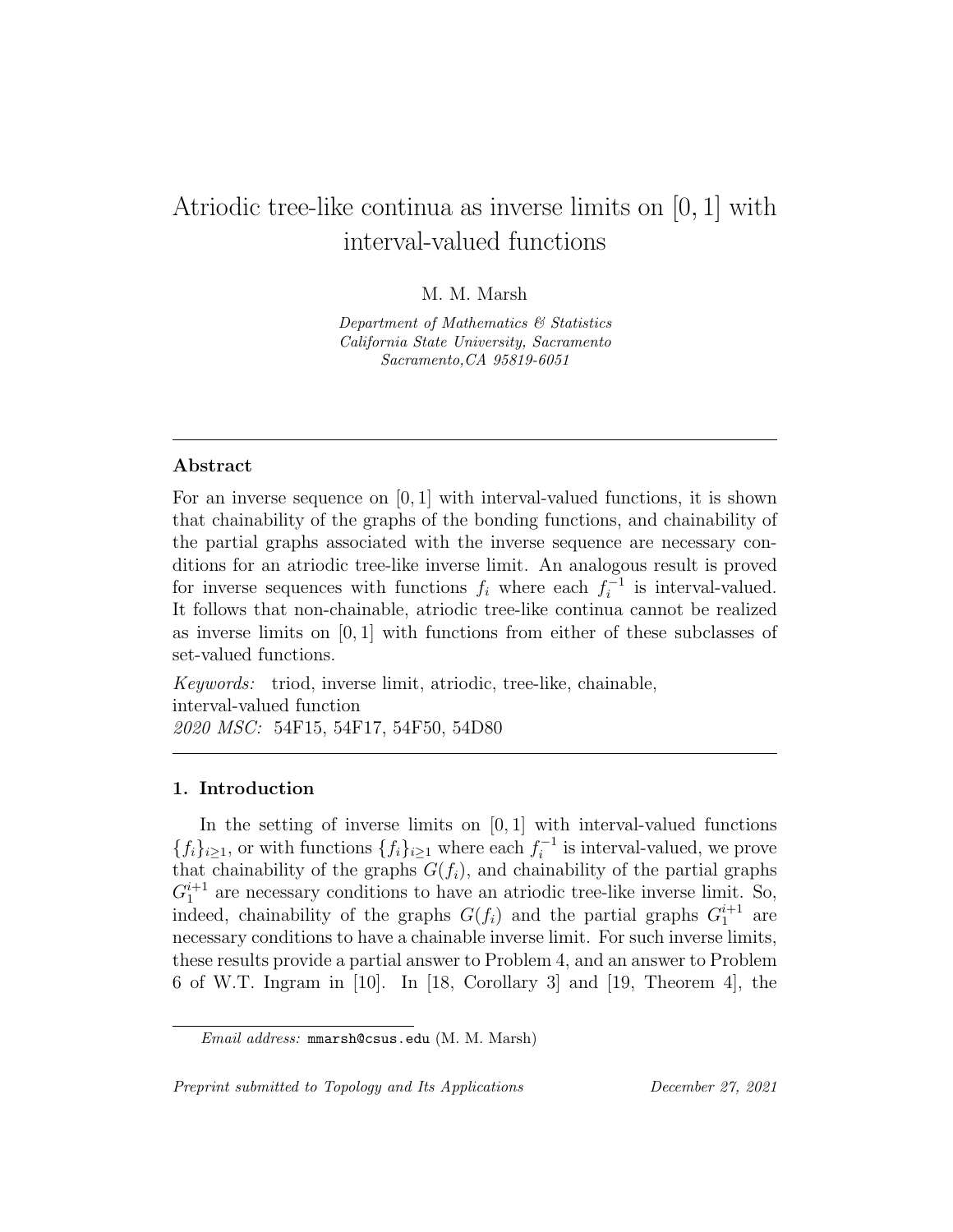# Atriodic tree-like continua as inverse limits on [0, 1] with interval-valued functions

# M. M. Marsh

Department of Mathematics & Statistics California State University, Sacramento Sacramento,CA 95819-6051

## Abstract

For an inverse sequence on  $[0, 1]$  with interval-valued functions, it is shown that chainability of the graphs of the bonding functions, and chainability of the partial graphs associated with the inverse sequence are necessary conditions for an atriodic tree-like inverse limit. An analogous result is proved for inverse sequences with functions  $f_i$  where each  $f_i^{-1}$  $i^{-1}$  is interval-valued. It follows that non-chainable, atriodic tree-like continua cannot be realized as inverse limits on  $[0, 1]$  with functions from either of these subclasses of set-valued functions.

Keywords: triod, inverse limit, atriodic, tree-like, chainable, interval-valued function 2020 MSC: 54F15, 54F17, 54F50, 54D80

### 1. Introduction

In the setting of inverse limits on  $[0, 1]$  with interval-valued functions  ${f_i}_{i\geq 1}$ , or with functions  ${f_i}_{i\geq 1}$  where each  $f_i^{-1}$  $i^{-1}$  is interval-valued, we prove that chainability of the graphs  $G(f_i)$ , and chainability of the partial graphs  $G_1^{i+1}$  are necessary conditions to have an atriodic tree-like inverse limit. So, indeed, chainability of the graphs  $G(f_i)$  and the partial graphs  $G_1^{i+1}$  are necessary conditions to have a chainable inverse limit. For such inverse limits, these results provide a partial answer to Problem 4, and an answer to Problem 6 of W.T. Ingram in [10]. In [18, Corollary 3] and [19, Theorem 4], the

Preprint submitted to Topology and Its Applications December 27, 2021

Email address: mmarsh@csus.edu (M. M. Marsh)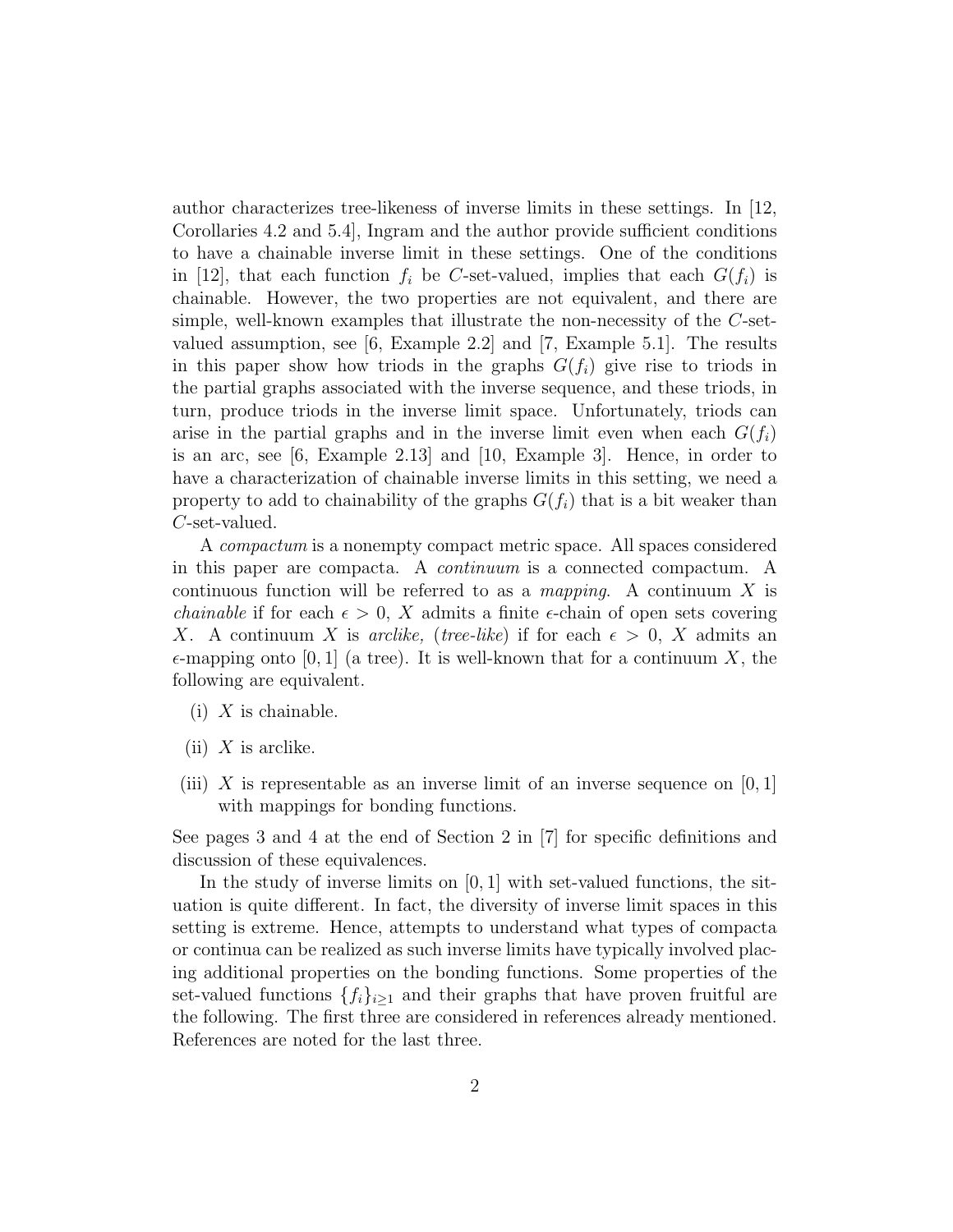author characterizes tree-likeness of inverse limits in these settings. In [12, Corollaries 4.2 and 5.4], Ingram and the author provide sufficient conditions to have a chainable inverse limit in these settings. One of the conditions in [12], that each function  $f_i$  be C-set-valued, implies that each  $G(f_i)$  is chainable. However, the two properties are not equivalent, and there are simple, well-known examples that illustrate the non-necessity of the C-setvalued assumption, see [6, Example 2.2] and [7, Example 5.1]. The results in this paper show how triods in the graphs  $G(f_i)$  give rise to triods in the partial graphs associated with the inverse sequence, and these triods, in turn, produce triods in the inverse limit space. Unfortunately, triods can arise in the partial graphs and in the inverse limit even when each  $G(f_i)$ is an arc, see [6, Example 2.13] and [10, Example 3]. Hence, in order to have a characterization of chainable inverse limits in this setting, we need a property to add to chainability of the graphs  $G(f_i)$  that is a bit weaker than C-set-valued.

A compactum is a nonempty compact metric space. All spaces considered in this paper are compacta. A continuum is a connected compactum. A continuous function will be referred to as a *mapping*. A continuum  $X$  is *chainable* if for each  $\epsilon > 0$ , X admits a finite  $\epsilon$ -chain of open sets covering X. A continuum X is *arclike*, (*tree-like*) if for each  $\epsilon > 0$ , X admits an  $\epsilon$ -mapping onto [0, 1] (a tree). It is well-known that for a continuum X, the following are equivalent.

- $(i)$  X is chainable.
- (ii)  $X$  is arclike.
- (iii) X is representable as an inverse limit of an inverse sequence on  $[0, 1]$ with mappings for bonding functions.

See pages 3 and 4 at the end of Section 2 in [7] for specific definitions and discussion of these equivalences.

In the study of inverse limits on  $[0, 1]$  with set-valued functions, the situation is quite different. In fact, the diversity of inverse limit spaces in this setting is extreme. Hence, attempts to understand what types of compacta or continua can be realized as such inverse limits have typically involved placing additional properties on the bonding functions. Some properties of the set-valued functions  $\{f_i\}_{i\geq 1}$  and their graphs that have proven fruitful are the following. The first three are considered in references already mentioned. References are noted for the last three.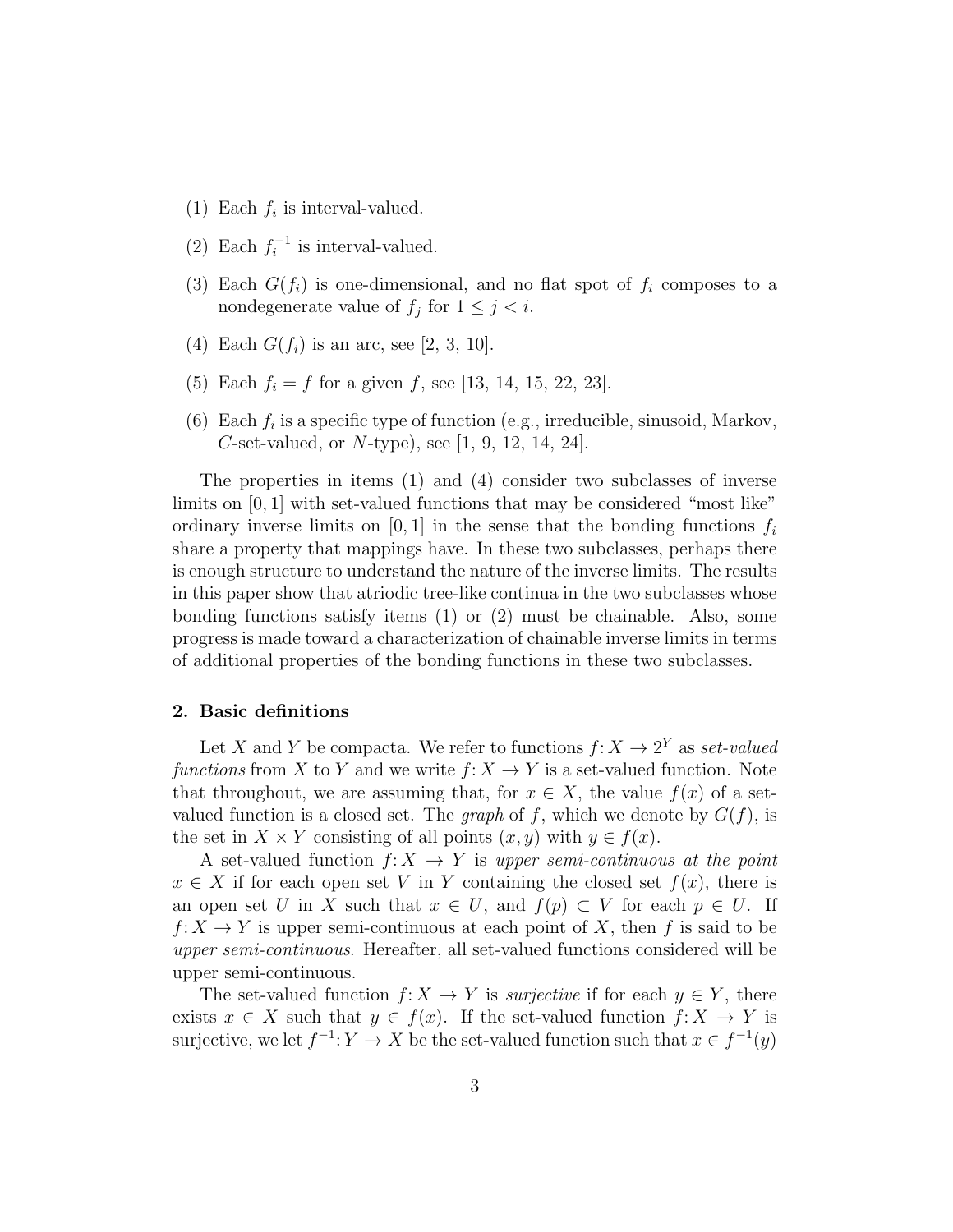- (1) Each  $f_i$  is interval-valued.
- $(2)$  Each  $f_i^{-1}$  $i^{-1}$  is interval-valued.
- (3) Each  $G(f_i)$  is one-dimensional, and no flat spot of  $f_i$  composes to a nondegenerate value of  $f_j$  for  $1 \leq j < i$ .
- (4) Each  $G(f_i)$  is an arc, see [2, 3, 10].
- (5) Each  $f_i = f$  for a given f, see [13, 14, 15, 22, 23].
- (6) Each  $f_i$  is a specific type of function (e.g., irreducible, sinusoid, Markov, C-set-valued, or  $N$ -type), see [1, 9, 12, 14, 24].

The properties in items (1) and (4) consider two subclasses of inverse limits on [0, 1] with set-valued functions that may be considered "most like" ordinary inverse limits on [0, 1] in the sense that the bonding functions  $f_i$ share a property that mappings have. In these two subclasses, perhaps there is enough structure to understand the nature of the inverse limits. The results in this paper show that atriodic tree-like continua in the two subclasses whose bonding functions satisfy items (1) or (2) must be chainable. Also, some progress is made toward a characterization of chainable inverse limits in terms of additional properties of the bonding functions in these two subclasses.

#### 2. Basic definitions

Let X and Y be compacta. We refer to functions  $f: X \to 2^Y$  as set-valued functions from X to Y and we write  $f: X \to Y$  is a set-valued function. Note that throughout, we are assuming that, for  $x \in X$ , the value  $f(x)$  of a setvalued function is a closed set. The *graph* of f, which we denote by  $G(f)$ , is the set in  $X \times Y$  consisting of all points  $(x, y)$  with  $y \in f(x)$ .

A set-valued function  $f: X \to Y$  is upper semi-continuous at the point  $x \in X$  if for each open set V in Y containing the closed set  $f(x)$ , there is an open set U in X such that  $x \in U$ , and  $f(p) \subset V$  for each  $p \in U$ . If  $f: X \to Y$  is upper semi-continuous at each point of X, then f is said to be upper semi-continuous. Hereafter, all set-valued functions considered will be upper semi-continuous.

The set-valued function  $f: X \to Y$  is *surjective* if for each  $y \in Y$ , there exists  $x \in X$  such that  $y \in f(x)$ . If the set-valued function  $f: X \to Y$  is surjective, we let  $f^{-1}: Y \to X$  be the set-valued function such that  $x \in f^{-1}(y)$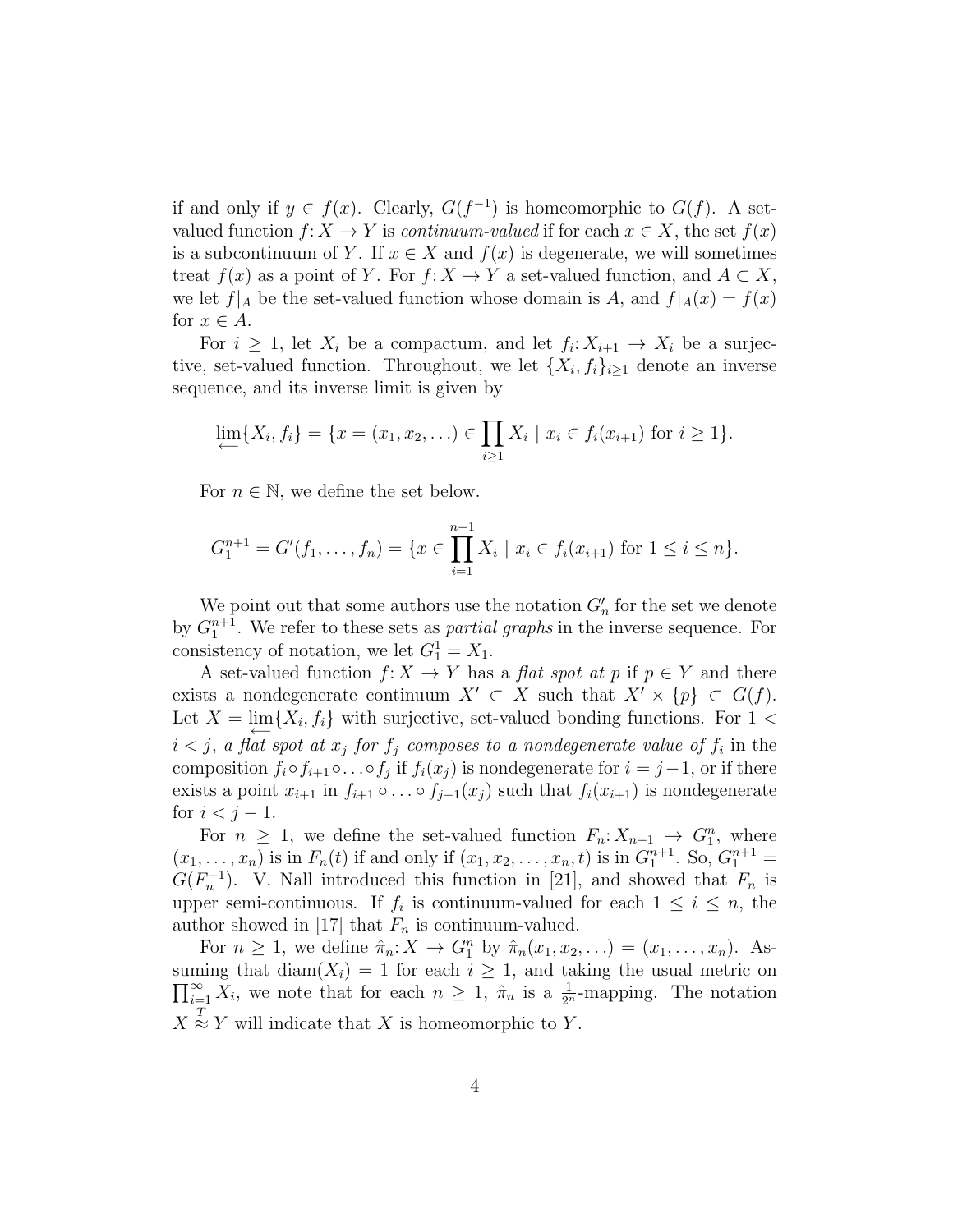if and only if  $y \in f(x)$ . Clearly,  $G(f^{-1})$  is homeomorphic to  $G(f)$ . A setvalued function  $f: X \to Y$  is *continuum-valued* if for each  $x \in X$ , the set  $f(x)$ is a subcontinuum of Y. If  $x \in X$  and  $f(x)$  is degenerate, we will sometimes treat  $f(x)$  as a point of Y. For  $f: X \to Y$  a set-valued function, and  $A \subset X$ , we let  $f|_A$  be the set-valued function whose domain is A, and  $f|_A(x) = f(x)$ for  $x \in A$ .

For  $i \geq 1$ , let  $X_i$  be a compactum, and let  $f_i: X_{i+1} \to X_i$  be a surjective, set-valued function. Throughout, we let  $\{X_i, f_i\}_{i\geq 1}$  denote an inverse sequence, and its inverse limit is given by

$$
\lim_{i \to \infty} \{X_i, f_i\} = \{x = (x_1, x_2, \ldots) \in \prod_{i \ge 1} X_i \mid x_i \in f_i(x_{i+1}) \text{ for } i \ge 1\}.
$$

For  $n \in \mathbb{N}$ , we define the set below.

$$
G_1^{n+1} = G'(f_1, \dots, f_n) = \{x \in \prod_{i=1}^{n+1} X_i \mid x_i \in f_i(x_{i+1}) \text{ for } 1 \le i \le n\}.
$$

We point out that some authors use the notation  $G'_n$  for the set we denote by  $G_1^{n+1}$ . We refer to these sets as *partial graphs* in the inverse sequence. For consistency of notation, we let  $G_1^1 = X_1$ .

A set-valued function  $f: X \to Y$  has a *flat spot at p* if  $p \in Y$  and there exists a nondegenerate continuum  $X' \subset X$  such that  $X' \times \{p\} \subset G(f)$ . Let  $X = \lim_{\longleftarrow} \{X_i, f_i\}$  with surjective, set-valued bonding functions. For 1 <  $i < j$ , a flat spot at  $x_j$  for  $f_j$  composes to a nondegenerate value of  $f_i$  in the composition  $f_i \circ f_{i+1} \circ \ldots \circ f_j$  if  $f_i(x_j)$  is nondegenerate for  $i = j-1$ , or if there exists a point  $x_{i+1}$  in  $f_{i+1} \circ \ldots \circ f_{j-1}(x_j)$  such that  $f_i(x_{i+1})$  is nondegenerate for  $i < j - 1$ .

For  $n \geq 1$ , we define the set-valued function  $F_n: X_{n+1} \to G_1^n$ , where  $(x_1, \ldots, x_n)$  is in  $F_n(t)$  if and only if  $(x_1, x_2, \ldots, x_n, t)$  is in  $G_1^{n+1}$ . So,  $G_1^{n+1}$  =  $G(F_n^{-1})$ . V. Nall introduced this function in [21], and showed that  $F_n$  is upper semi-continuous. If  $f_i$  is continuum-valued for each  $1 \leq i \leq n$ , the author showed in [17] that  $F_n$  is continuum-valued.

For  $n \geq 1$ , we define  $\hat{\pi}_n: X \to G_1^n$  by  $\hat{\pi}_n(x_1, x_2, \ldots) = (x_1, \ldots, x_n)$ . As- $\prod_{i=1}^{\infty} X_i$ , we note that for each  $n \geq 1$ ,  $\hat{\pi}_n$  is a  $\frac{1}{2^n}$ -mapping. The notation suming that diam( $X_i$ ) = 1 for each  $i \geq 1$ , and taking the usual metric on  $X \stackrel{T}{\approx} Y$  will indicate that X is homeomorphic to Y.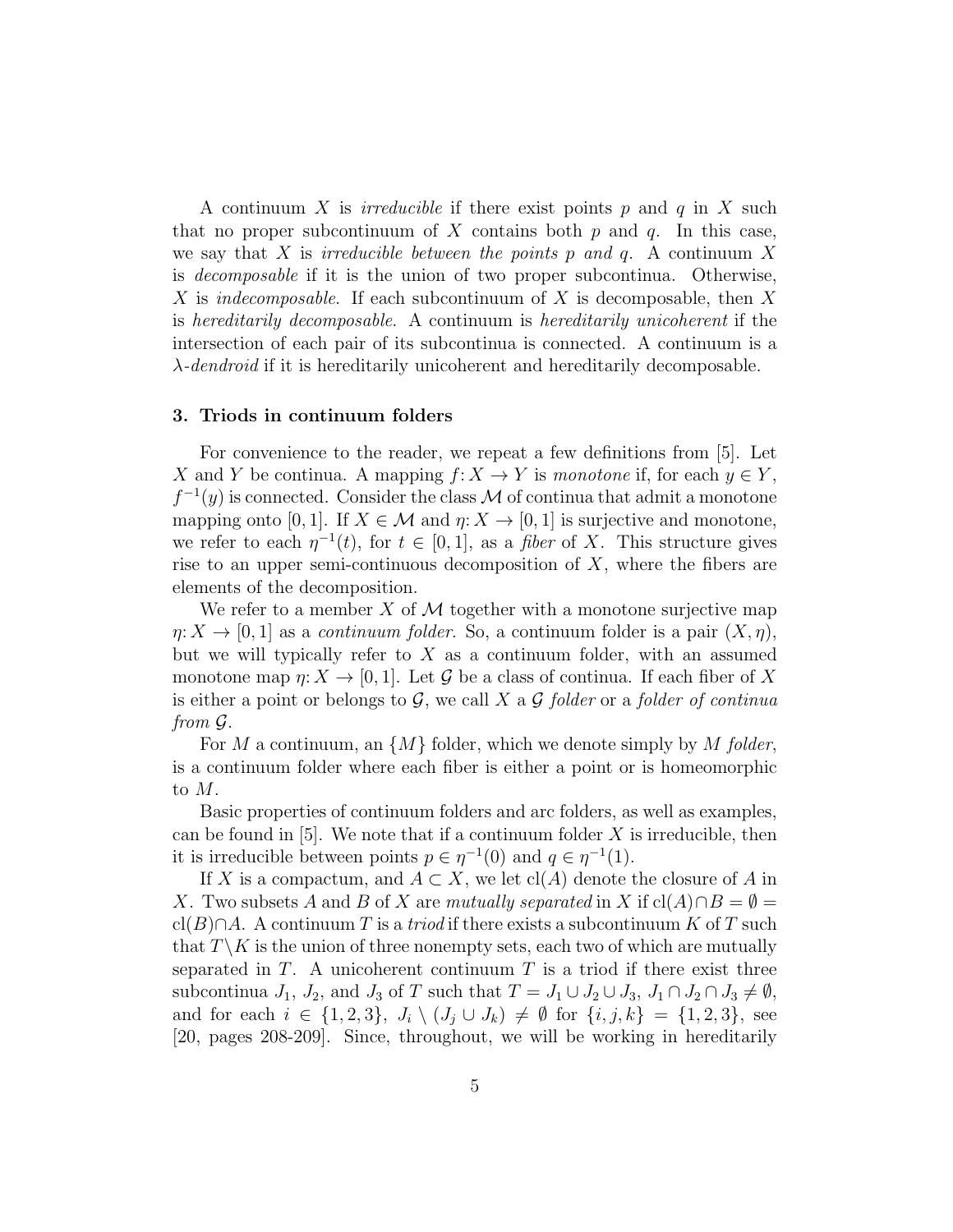A continuum X is *irreducible* if there exist points p and q in X such that no proper subcontinuum of X contains both  $p$  and  $q$ . In this case, we say that X is *irreducible between the points p and q*. A continuum X is decomposable if it is the union of two proper subcontinua. Otherwise, X is *indecomposable*. If each subcontinuum of X is decomposable, then X is hereditarily decomposable. A continuum is hereditarily unicoherent if the intersection of each pair of its subcontinua is connected. A continuum is a  $\lambda$ -dendroid if it is hereditarily unicoherent and hereditarily decomposable.

#### 3. Triods in continuum folders

For convenience to the reader, we repeat a few definitions from [5]. Let X and Y be continua. A mapping  $f: X \to Y$  is monotone if, for each  $y \in Y$ ,  $f^{-1}(y)$  is connected. Consider the class M of continua that admit a monotone mapping onto [0, 1]. If  $X \in \mathcal{M}$  and  $\eta: X \to [0, 1]$  is surjective and monotone, we refer to each  $\eta^{-1}(t)$ , for  $t \in [0,1]$ , as a *fiber* of X. This structure gives rise to an upper semi-continuous decomposition of  $X$ , where the fibers are elements of the decomposition.

We refer to a member X of M together with a monotone surjective map  $\eta: X \to [0, 1]$  as a *continuum folder*. So, a continuum folder is a pair  $(X, \eta)$ , but we will typically refer to  $X$  as a continuum folder, with an assumed monotone map  $\eta: X \to [0,1]$ . Let G be a class of continua. If each fiber of X is either a point or belongs to  $G$ , we call X a  $G$  folder or a folder of continual from G.

For M a continuum, an  $\{M\}$  folder, which we denote simply by M folder, is a continuum folder where each fiber is either a point or is homeomorphic to M.

Basic properties of continuum folders and arc folders, as well as examples, can be found in  $[5]$ . We note that if a continuum folder X is irreducible, then it is irreducible between points  $p \in \eta^{-1}(0)$  and  $q \in \eta^{-1}(1)$ .

If X is a compactum, and  $A \subset X$ , we let cl(A) denote the closure of A in X. Two subsets A and B of X are mutually separated in X if  $cl(A) \cap B = \emptyset$  $cl(B)\cap A$ . A continuum T is a triod if there exists a subcontinuum K of T such that  $T \backslash K$  is the union of three nonempty sets, each two of which are mutually separated in  $T$ . A unicoherent continuum  $T$  is a triod if there exist three subcontinua  $J_1$ ,  $J_2$ , and  $J_3$  of T such that  $T = J_1 \cup J_2 \cup J_3$ ,  $J_1 \cap J_2 \cap J_3 \neq \emptyset$ , and for each  $i \in \{1, 2, 3\}, J_i \setminus (J_j \cup J_k) \neq \emptyset$  for  $\{i, j, k\} = \{1, 2, 3\},$  see [20, pages 208-209]. Since, throughout, we will be working in hereditarily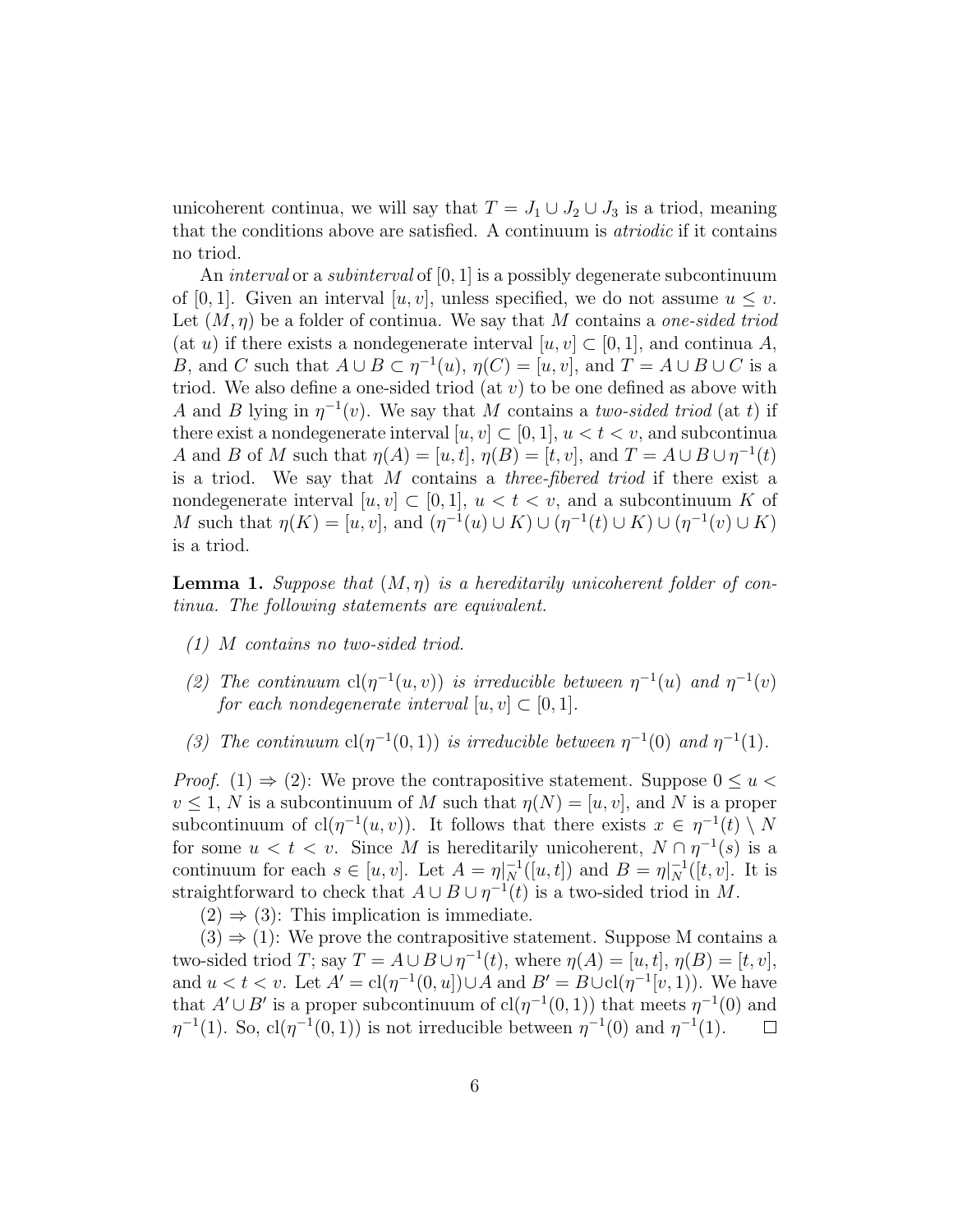unicoherent continua, we will say that  $T = J_1 \cup J_2 \cup J_3$  is a triod, meaning that the conditions above are satisfied. A continuum is atriodic if it contains no triod.

An *interval* or a *subinterval* of  $[0, 1]$  is a possibly degenerate subcontinuum of [0, 1]. Given an interval [u, v], unless specified, we do not assume  $u \leq v$ . Let  $(M, \eta)$  be a folder of continua. We say that M contains a *one-sided triod* (at u) if there exists a nondegenerate interval  $[u, v] \subset [0, 1]$ , and continua A, B, and C such that  $A \cup B \subset \eta^{-1}(u)$ ,  $\eta(C) = [u, v]$ , and  $T = A \cup B \cup C$  is a triod. We also define a one-sided triod (at  $v$ ) to be one defined as above with A and B lying in  $\eta^{-1}(v)$ . We say that M contains a two-sided triod (at t) if there exist a nondegenerate interval  $[u, v] \subset [0, 1], u < t < v$ , and subcontinua A and B of M such that  $\eta(A) = [u, t], \eta(B) = [t, v],$  and  $T = A \cup B \cup \eta^{-1}(t)$ is a triod. We say that M contains a three-fibered triod if there exist a nondegenerate interval  $[u, v] \subset [0, 1], u < t < v$ , and a subcontinuum K of M such that  $\eta(K) = [u, v]$ , and  $(\eta^{-1}(u) \cup K) \cup (\eta^{-1}(t) \cup K) \cup (\eta^{-1}(v) \cup K)$ is a triod.

**Lemma 1.** Suppose that  $(M, \eta)$  is a hereditarily unicoherent folder of continua. The following statements are equivalent.

- (1) M contains no two-sided triod.
- (2) The continuum  $cl(\eta^{-1}(u, v))$  is irreducible between  $\eta^{-1}(u)$  and  $\eta^{-1}(v)$ for each nondegenerate interval  $[u, v] \subset [0, 1]$ .
- (3) The continuum  $cl(\eta^{-1}(0,1))$  is irreducible between  $\eta^{-1}(0)$  and  $\eta^{-1}(1)$ .

*Proof.* (1)  $\Rightarrow$  (2): We prove the contrapositive statement. Suppose  $0 \le u$  $v \leq 1$ , N is a subcontinuum of M such that  $\eta(N) = [u, v]$ , and N is a proper subcontinuum of  $\text{cl}(\eta^{-1}(u, v))$ . It follows that there exists  $x \in \eta^{-1}(t) \setminus N$ for some  $u < t < v$ . Since M is hereditarily unicoherent,  $N \cap \eta^{-1}(s)$  is a continuum for each  $s \in [u, v]$ . Let  $A = \eta|_N^{-1}([u, t])$  and  $B = \eta|_N^{-1}([t, v]$ . It is straightforward to check that  $A \cup B \cup \eta^{-1}(t)$  is a two-sided triod in M.

 $(2) \Rightarrow (3)$ : This implication is immediate.

 $(3) \Rightarrow (1)$ : We prove the contrapositive statement. Suppose M contains a two-sided triod T; say  $T = A \cup B \cup \eta^{-1}(t)$ , where  $\eta(A) = [u, t], \eta(B) = [t, v]$ , and  $u < t < v$ . Let  $A' = cl(\eta^{-1}(0, u]) \cup A$  and  $B' = B \cup cl(\eta^{-1}(v, 1))$ . We have that  $A' \cup B'$  is a proper subcontinuum of  $\text{cl}(\eta^{-1}(0,1))$  that meets  $\eta^{-1}(0)$  and  $\eta^{-1}(1)$ . So,  $\text{cl}(\eta^{-1}(0,1))$  is not irreducible between  $\eta^{-1}(0)$  and  $\eta^{-1}(1)$ .  $\Box$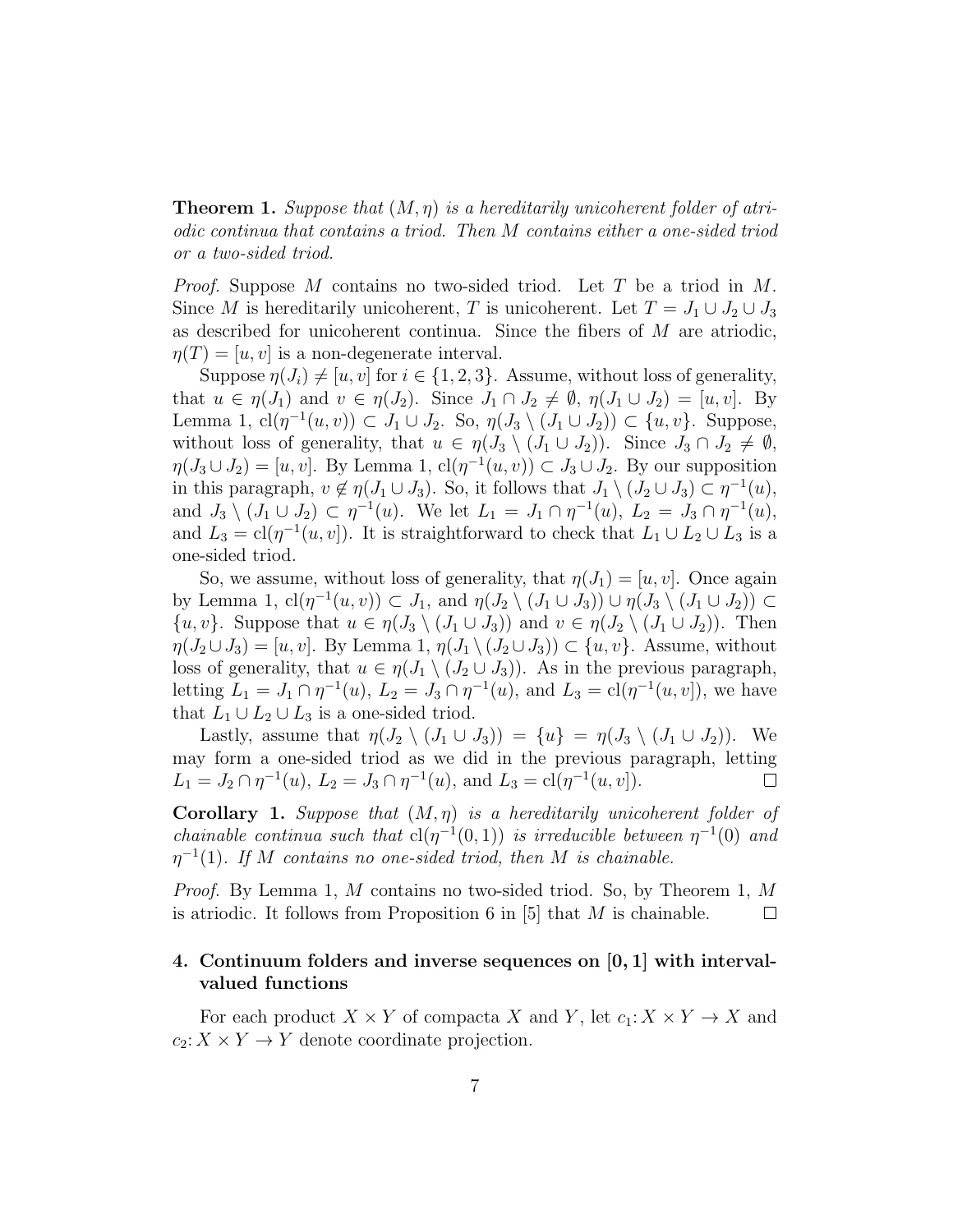**Theorem 1.** Suppose that  $(M, \eta)$  is a hereditarily unicoherent folder of atriodic continua that contains a triod. Then M contains either a one-sided triod or a two-sided triod.

*Proof.* Suppose M contains no two-sided triod. Let T be a triod in  $M$ . Since M is hereditarily unicoherent, T is unicoherent. Let  $T = J_1 \cup J_2 \cup J_3$ as described for unicoherent continua. Since the fibers of M are atriodic,  $\eta(T) = [u, v]$  is a non-degenerate interval.

Suppose  $\eta(J_i) \neq [u, v]$  for  $i \in \{1, 2, 3\}$ . Assume, without loss of generality, that  $u \in \eta(J_1)$  and  $v \in \eta(J_2)$ . Since  $J_1 \cap J_2 \neq \emptyset$ ,  $\eta(J_1 \cup J_2) = [u, v]$ . By Lemma 1,  $\text{cl}(\eta^{-1}(u, v)) \subset J_1 \cup J_2$ . So,  $\eta(J_3 \setminus (J_1 \cup J_2)) \subset \{u, v\}$ . Suppose, without loss of generality, that  $u \in \eta(J_3 \setminus (J_1 \cup J_2))$ . Since  $J_3 \cap J_2 \neq \emptyset$ ,  $\eta(J_3 \cup J_2) = [u, v]$ . By Lemma 1,  $\text{cl}(\eta^{-1}(u, v)) \subset J_3 \cup J_2$ . By our supposition in this paragraph,  $v \notin \eta(J_1 \cup J_3)$ . So, it follows that  $J_1 \setminus (J_2 \cup J_3) \subset \eta^{-1}(u)$ , and  $J_3 \setminus (J_1 \cup J_2) \subset \eta^{-1}(u)$ . We let  $L_1 = J_1 \cap \eta^{-1}(u)$ ,  $L_2 = J_3 \cap \eta^{-1}(u)$ , and  $L_3 = cl(\eta^{-1}(u, v])$ . It is straightforward to check that  $L_1 \cup L_2 \cup L_3$  is a one-sided triod.

So, we assume, without loss of generality, that  $\eta(J_1) = [u, v]$ . Once again by Lemma 1,  $\text{cl}(\eta^{-1}(u, v)) \subset J_1$ , and  $\eta(J_2 \setminus (J_1 \cup J_3)) \cup \eta(J_3 \setminus (J_1 \cup J_2)) \subset$  $\{u, v\}$ . Suppose that  $u \in \eta(J_3 \setminus (J_1 \cup J_3))$  and  $v \in \eta(J_2 \setminus (J_1 \cup J_2))$ . Then  $\eta(J_2 \cup J_3) = [u, v]$ . By Lemma 1,  $\eta(J_1 \setminus (J_2 \cup J_3)) \subset \{u, v\}$ . Assume, without loss of generality, that  $u \in \eta(J_1 \setminus (J_2 \cup J_3))$ . As in the previous paragraph, letting  $L_1 = J_1 \cap \eta^{-1}(u)$ ,  $L_2 = J_3 \cap \eta^{-1}(u)$ , and  $L_3 = \text{cl}(\eta^{-1}(u, v))$ , we have that  $L_1 \cup L_2 \cup L_3$  is a one-sided triod.

Lastly, assume that  $\eta(J_2 \setminus (J_1 \cup J_3)) = \{u\} = \eta(J_3 \setminus (J_1 \cup J_2))$ . We may form a one-sided triod as we did in the previous paragraph, letting  $L_1 = J_2 \cap \eta^{-1}(u), L_2 = J_3 \cap \eta^{-1}(u), \text{ and } L_3 = \text{cl}(\eta^{-1}(u, v)).$  $\Box$ 

**Corollary 1.** Suppose that  $(M, \eta)$  is a hereditarily unicoherent folder of *chainable continua such that*  $cl(\eta^{-1}(0,1))$  *is irreducible between*  $\eta^{-1}(0)$  *and*  $\eta^{-1}(1)$ . If M contains no one-sided triod, then M is chainable.

Proof. By Lemma 1, M contains no two-sided triod. So, by Theorem 1, M is atriodic. It follows from Proposition 6 in  $[5]$  that M is chainable.  $\Box$ 

# 4. Continuum folders and inverse sequences on [0, 1] with intervalvalued functions

For each product  $X \times Y$  of compacta X and Y, let  $c_1: X \times Y \to X$  and  $c_2: X \times Y \to Y$  denote coordinate projection.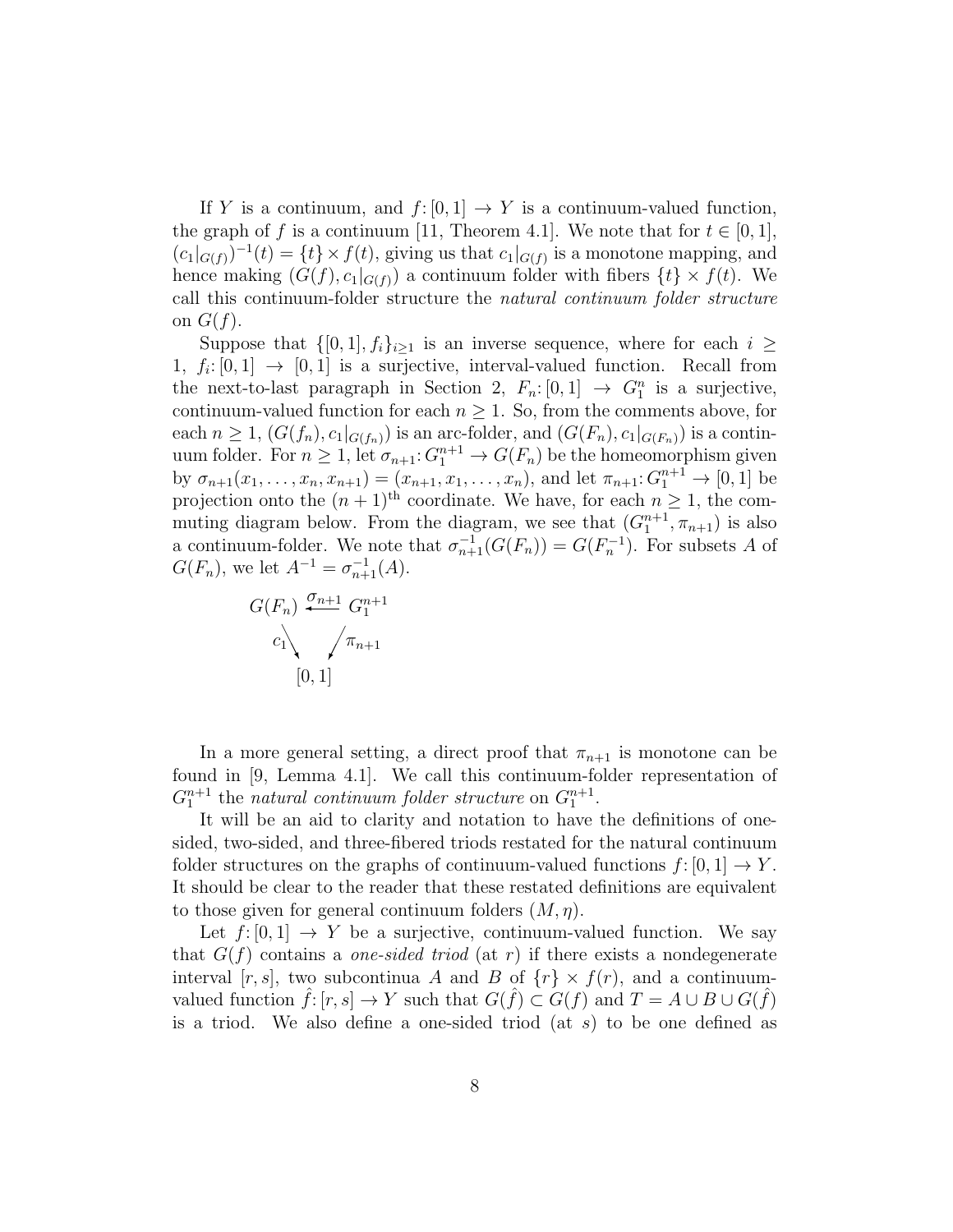If Y is a continuum, and  $f: [0, 1] \to Y$  is a continuum-valued function, the graph of f is a continuum [11, Theorem 4.1]. We note that for  $t \in [0,1]$ ,  $(c_1|_{G(f)})^{-1}(t) = \{t\} \times f(t)$ , giving us that  $c_1|_{G(f)}$  is a monotone mapping, and hence making  $(G(f), c_1|_{G(f)})$  a continuum folder with fibers  $\{t\} \times f(t)$ . We call this continuum-folder structure the natural continuum folder structure on  $G(f)$ .

Suppose that  $\{[0, 1], f_i\}_{i\geq 1}$  is an inverse sequence, where for each  $i \geq$ 1,  $f_i: [0,1] \rightarrow [0,1]$  is a surjective, interval-valued function. Recall from the next-to-last paragraph in Section 2,  $F_n: [0,1] \rightarrow G_1^n$  is a surjective, continuum-valued function for each  $n \geq 1$ . So, from the comments above, for each  $n \geq 1$ ,  $(G(f_n), c_1|_{G(f_n)})$  is an arc-folder, and  $(G(F_n), c_1|_{G(F_n)})$  is a continuum folder. For  $n \geq 1$ , let  $\sigma_{n+1}: G_1^{n+1} \to G(F_n)$  be the homeomorphism given by  $\sigma_{n+1}(x_1,\ldots,x_n,x_{n+1}) = (x_{n+1},x_1,\ldots,x_n)$ , and let  $\pi_{n+1}:G_1^{n+1} \to [0,1]$  be projection onto the  $(n+1)$ <sup>th</sup> coordinate. We have, for each  $n \geq 1$ , the commuting diagram below. From the diagram, we see that  $(G_1^{n+1}, \pi_{n+1})$  is also a continuum-folder. We note that  $\sigma_{n+1}^{-1}(G(F_n)) = G(F_n^{-1})$ . For subsets A of  $G(F_n)$ , we let  $A^{-1} = \sigma_{n+1}^{-1}(A)$ .

$$
G(F_n) \xrightarrow{\sigma_{n+1}} G_1^{n+1}
$$
  

$$
c_1 \searrow \qquad \qquad \tau_{n+1}
$$
  

$$
[0, 1]
$$

In a more general setting, a direct proof that  $\pi_{n+1}$  is monotone can be found in [9, Lemma 4.1]. We call this continuum-folder representation of  $G_1^{n+1}$  the natural continuum folder structure on  $G_1^{n+1}$ .

It will be an aid to clarity and notation to have the definitions of onesided, two-sided, and three-fibered triods restated for the natural continuum folder structures on the graphs of continuum-valued functions  $f: [0, 1] \rightarrow Y$ . It should be clear to the reader that these restated definitions are equivalent to those given for general continuum folders  $(M, \eta)$ .

Let  $f: [0, 1] \rightarrow Y$  be a surjective, continuum-valued function. We say that  $G(f)$  contains a *one-sided triod* (at r) if there exists a nondegenerate interval [r, s], two subcontinua A and B of  $\{r\} \times f(r)$ , and a continuumvalued function  $\hat{f}: [r, s] \to Y$  such that  $G(\hat{f}) \subset G(f)$  and  $T = A \cup B \cup G(\hat{f})$ is a triod. We also define a one-sided triod (at  $s$ ) to be one defined as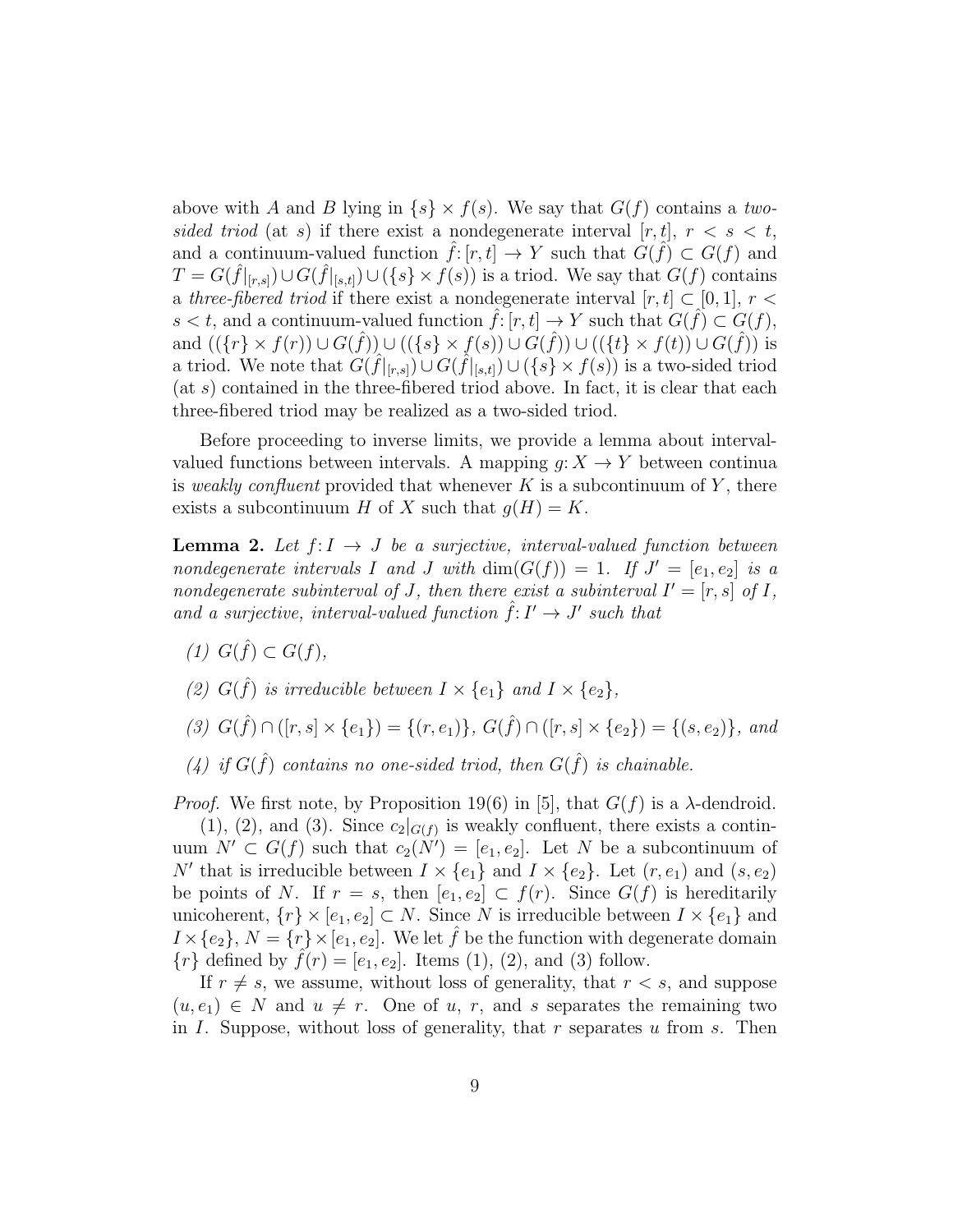above with A and B lying in  $\{s\} \times f(s)$ . We say that  $G(f)$  contains a twosided triod (at s) if there exist a nondegenerate interval  $[r, t]$ ,  $r < s < t$ , and a continuum-valued function  $\hat{f}: [r, t] \to Y$  such that  $G(\hat{f}) \subset G(f)$  and  $T = G(\hat{f}|_{[r,s]}) \cup G(\hat{f}|_{[s,t]}) \cup (\{s\} \times f(s))$  is a triod. We say that  $G(f)$  contains a three-fibered triod if there exist a nondegenerate interval  $[r, t] \subset [0, 1], r <$  $s < t$ , and a continuum-valued function  $\hat{f}: [r, t] \to Y$  such that  $G(\hat{f}) \subset G(f)$ , and  $((\lbrace r \rbrace \times f(r)) \cup G(\hat{f})) \cup ((\lbrace s \rbrace \times f(s)) \cup G(\hat{f})) \cup ((\lbrace t \rbrace \times f(t)) \cup G(\hat{f}))$  is a triod. We note that  $G(\hat{f}|_{[r,s]}) \cup G(\hat{f}|_{[s,t]}) \cup (\{s\} \times f(s))$  is a two-sided triod  $(\text{at } s)$  contained in the three-fibered triod above. In fact, it is clear that each three-fibered triod may be realized as a two-sided triod.

Before proceeding to inverse limits, we provide a lemma about intervalvalued functions between intervals. A mapping  $g: X \to Y$  between continua is weakly confluent provided that whenever K is a subcontinuum of Y, there exists a subcontinuum H of X such that  $q(H) = K$ .

**Lemma 2.** Let  $f: I \to J$  be a surjective, interval-valued function between nondegenerate intervals I and J with  $\dim(G(f)) = 1$ . If  $J' = [e_1, e_2]$  is a nondegenerate subinterval of J, then there exist a subinterval  $I' = [r, s]$  of I, and a surjective, interval-valued function  $\hat{f}: I' \to J'$  such that

- (1)  $G(\hat{f}) \subset G(f)$ ,
- (2)  $G(\hat{f})$  is irreducible between  $I \times \{e_1\}$  and  $I \times \{e_2\}$ ,
- (3)  $G(\hat{f}) \cap ([r, s] \times \{e_1\}) = \{(r, e_1)\}, G(\hat{f}) \cap ([r, s] \times \{e_2\}) = \{(s, e_2)\}, and$
- (4) if  $G(\hat{f})$  contains no one-sided triod, then  $G(\hat{f})$  is chainable.

*Proof.* We first note, by Proposition 19(6) in [5], that  $G(f)$  is a  $\lambda$ -dendroid.

 $(1), (2),$  and  $(3)$ . Since  $c_2|_{G(f)}$  is weakly confluent, there exists a continuum  $N' \subset G(f)$  such that  $c_2(N') = [e_1, e_2]$ . Let N be a subcontinuum of N' that is irreducible between  $I \times \{e_1\}$  and  $I \times \{e_2\}$ . Let  $(r, e_1)$  and  $(s, e_2)$ be points of N. If  $r = s$ , then  $[e_1, e_2] \subset f(r)$ . Since  $G(f)$  is hereditarily unicoherent,  $\{r\} \times [e_1, e_2] \subset N$ . Since N is irreducible between  $I \times \{e_1\}$  and  $I \times \{e_2\}, N = \{r\} \times [e_1, e_2].$  We let  $\hat{f}$  be the function with degenerate domain  $\{r\}$  defined by  $\hat{f}(r) = [e_1, e_2]$ . Items (1), (2), and (3) follow.

If  $r \neq s$ , we assume, without loss of generality, that  $r < s$ , and suppose  $(u, e_1) \in N$  and  $u \neq r$ . One of u, r, and s separates the remaining two in I. Suppose, without loss of generality, that  $r$  separates  $u$  from  $s$ . Then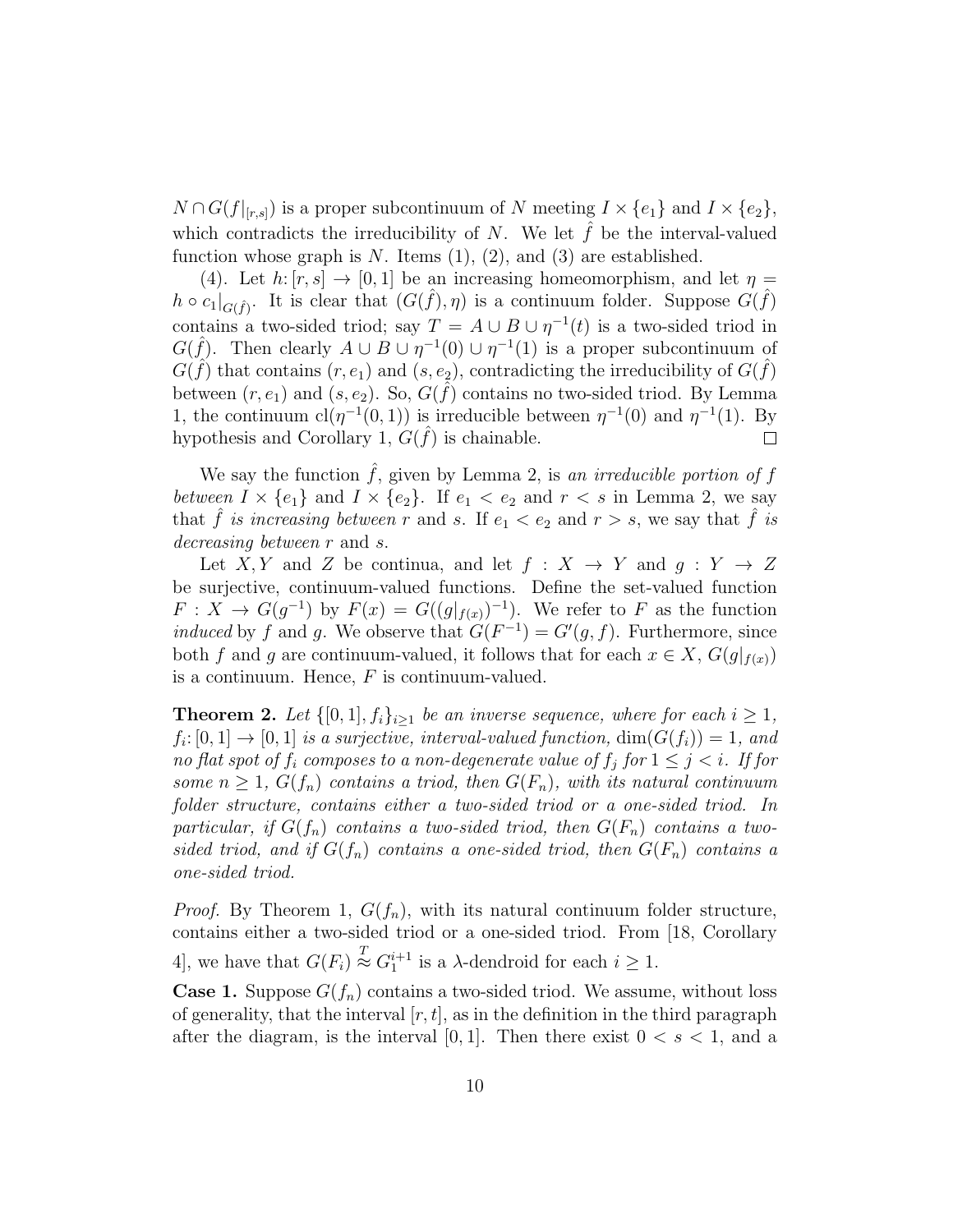$N \cap G(f|_{[r,s]})$  is a proper subcontinuum of N meeting  $I \times \{e_1\}$  and  $I \times \{e_2\}$ , which contradicts the irreducibility of N. We let  $f$  be the interval-valued function whose graph is  $N$ . Items  $(1), (2),$  and  $(3)$  are established.

(4). Let  $h: [r, s] \to [0, 1]$  be an increasing homeomorphism, and let  $\eta =$  $h \circ c_1|_{G(\hat{f})}$ . It is clear that  $(G(\hat{f}), \eta)$  is a continuum folder. Suppose  $G(\hat{f})$ contains a two-sided triod; say  $T = A \cup B \cup \eta^{-1}(t)$  is a two-sided triod in  $G(\hat{f})$ . Then clearly  $A \cup B \cup \eta^{-1}(0) \cup \eta^{-1}(1)$  is a proper subcontinuum of  $G(\hat{f})$  that contains  $(r, e_1)$  and  $(s, e_2)$ , contradicting the irreducibility of  $G(\hat{f})$ between  $(r, e_1)$  and  $(s, e_2)$ . So,  $G(\hat{f})$  contains no two-sided triod. By Lemma 1, the continuum  $cl(\eta^{-1}(0,1))$  is irreducible between  $\eta^{-1}(0)$  and  $\eta^{-1}(1)$ . By hypothesis and Corollary 1,  $G(\hat{f})$  is chainable.  $\Box$ 

We say the function  $\hat{f}$ , given by Lemma 2, is an irreducible portion of f between  $I \times \{e_1\}$  and  $I \times \{e_2\}$ . If  $e_1 < e_2$  and  $r < s$  in Lemma 2, we say that f is increasing between r and s. If  $e_1 < e_2$  and  $r > s$ , we say that f is decreasing between r and s.

Let X, Y and Z be continua, and let  $f: X \to Y$  and  $g: Y \to Z$ be surjective, continuum-valued functions. Define the set-valued function  $F: X \to G(g^{-1})$  by  $F(x) = G((g|_{f(x)})^{-1})$ . We refer to F as the function induced by f and g. We observe that  $G(F^{-1}) = G'(g, f)$ . Furthermore, since both f and g are continuum-valued, it follows that for each  $x \in X$ ,  $G(g|_{f(x)})$ is a continuum. Hence,  $F$  is continuum-valued.

**Theorem 2.** Let  $\{[0,1], f_i\}_{i\geq 1}$  be an inverse sequence, where for each  $i \geq 1$ ,  $f_i: [0,1] \to [0,1]$  is a surjective, interval-valued function,  $\dim(G(f_i)) = 1$ , and no flat spot of  $f_i$  composes to a non-degenerate value of  $f_j$  for  $1 \leq j \leq i$ . If for some  $n \geq 1$ ,  $G(f_n)$  contains a triod, then  $G(F_n)$ , with its natural continuum folder structure, contains either a two-sided triod or a one-sided triod. In particular, if  $G(f_n)$  contains a two-sided triod, then  $G(F_n)$  contains a twosided triod, and if  $G(f_n)$  contains a one-sided triod, then  $G(F_n)$  contains a one-sided triod.

*Proof.* By Theorem 1,  $G(f_n)$ , with its natural continuum folder structure, contains either a two-sided triod or a one-sided triod. From [18, Corollary 4, we have that  $G(F_i) \stackrel{T}{\approx} G_1^{i+1}$  is a  $\lambda$ -dendroid for each  $i \geq 1$ .

**Case 1.** Suppose  $G(f_n)$  contains a two-sided triod. We assume, without loss of generality, that the interval  $[r, t]$ , as in the definition in the third paragraph after the diagram, is the interval [0, 1]. Then there exist  $0 < s < 1$ , and a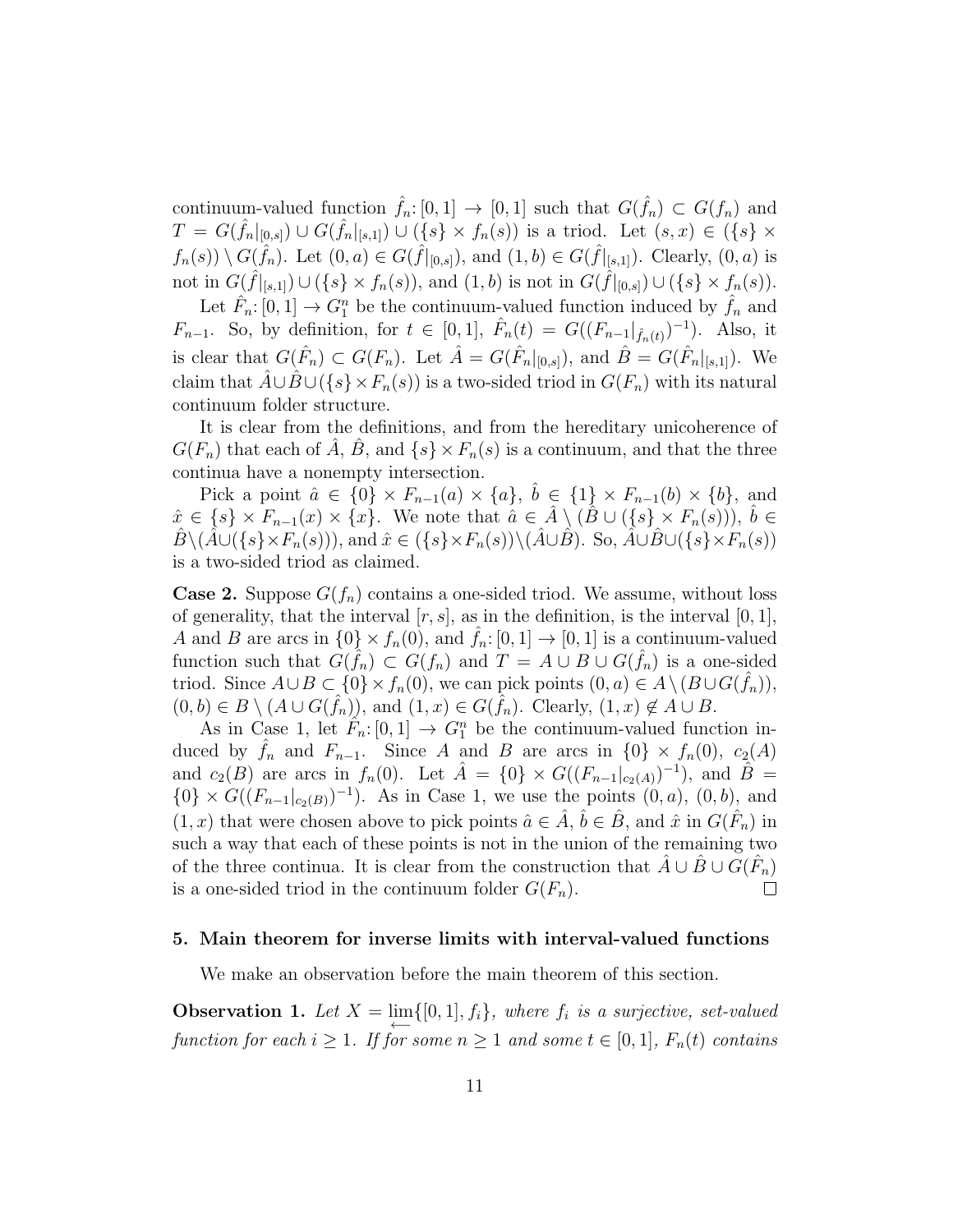continuum-valued function  $\hat{f}_n: [0,1] \to [0,1]$  such that  $G(\hat{f}_n) \subset G(f_n)$  and  $T = G(\hat{f}_n|_{[0,s]}) \cup G(\hat{f}_n|_{[s,1]}) \cup (\{s\} \times f_n(s))$  is a triod. Let  $(s, x) \in (\{s\} \times$  $f_n(s)$   $\setminus G(\hat{f}_n)$ . Let  $(0, a) \in G(\hat{f}|_{[0, s]})$ , and  $(1, b) \in G(\hat{f}|_{[s, 1]})$ . Clearly,  $(0, a)$  is not in  $G(\hat{f}|_{[s,1]}) \cup (\{s\} \times f_n(s)),$  and  $(1,b)$  is not in  $G(\hat{f}|_{[0,s]}) \cup (\{s\} \times f_n(s)).$ 

Let  $\hat{F}_n: [0,1] \to G_1^n$  be the continuum-valued function induced by  $\hat{f}_n$  and  $F_{n-1}$ . So, by definition, for  $t \in [0,1]$ ,  $\hat{F}_n(t) = G((F_{n-1}|_{\hat{f}_n(t)})^{-1})$ . Also, it is clear that  $G(\hat{F}_n) \subset G(F_n)$ . Let  $\hat{A} = G(\hat{F}_n|_{[0,s]})$ , and  $\hat{B} = G(\hat{F}_n|_{[s,1]})$ . We claim that  $\hat{A} \cup \hat{B} \cup (\{s\} \times F_n(s))$  is a two-sided triod in  $G(F_n)$  with its natural continuum folder structure.

It is clear from the definitions, and from the hereditary unicoherence of  $G(F_n)$  that each of  $\overline{A}$ ,  $\overline{B}$ , and  $\{s\} \times F_n(s)$  is a continuum, and that the three continua have a nonempty intersection.

Pick a point  $\hat{a} \in \{0\} \times F_{n-1}(a) \times \{a\}, \ \hat{b} \in \{1\} \times F_{n-1}(b) \times \{b\},\$ and  $\hat{x} \in \{s\} \times F_{n-1}(x) \times \{x\}.$  We note that  $\hat{a} \in \hat{A} \setminus (\hat{B} \cup (\{s\} \times F_n(s))), \hat{b} \in$  $\hat{B}\setminus(\hat{A}\cup(\{s\}\times F_n(s))),$  and  $\hat{x}\in(\{s\}\times F_n(s))\setminus(\hat{A}\cup\hat{B})$ . So,  $\hat{A}\cup\hat{B}\cup(\{s\}\times F_n(s))$ is a two-sided triod as claimed.

**Case 2.** Suppose  $G(f_n)$  contains a one-sided triod. We assume, without loss of generality, that the interval  $[r, s]$ , as in the definition, is the interval  $[0, 1]$ , A and B are arcs in  $\{0\} \times f_n(0)$ , and  $\hat{f}_n: [0,1] \to [0,1]$  is a continuum-valued function such that  $G(\hat{f}_n) \subset G(f_n)$  and  $T = A \cup B \cup G(\hat{f}_n)$  is a one-sided triod. Since  $A\cup B\subset \{0\}\times f_n(0)$ , we can pick points  $(0, a)\in A\setminus (B\cup G(\hat{f}_n)),$  $(0,b)\in B\setminus (A\cup G(\hat{f}_n)),$  and  $(1,x)\in G(\hat{f}_n)$ . Clearly,  $(1,x)\notin A\cup B$ .

As in Case 1, let  $\hat{F}_n: [0,1] \to G_1^n$  be the continuum-valued function induced by  $f_n$  and  $F_{n-1}$ . Since A and B are arcs in  $\{0\} \times f_n(0)$ ,  $c_2(A)$ and  $c_2(B)$  are arcs in  $f_n(0)$ . Let  $\hat{A} = \{0\} \times G((F_{n-1}|_{c_2(A)})^{-1})$ , and  $\hat{B} =$  ${0} \times G((F_{n-1}|_{c_2(B)})^{-1})$ . As in Case 1, we use the points  $(0, a)$ ,  $(0, b)$ , and  $(1, x)$  that were chosen above to pick points  $\hat{a} \in \hat{A}$ ,  $\hat{b} \in \hat{B}$ , and  $\hat{x}$  in  $G(\hat{F}_n)$  in such a way that each of these points is not in the union of the remaining two of the three continua. It is clear from the construction that  $\hat{A} \cup \hat{B} \cup \tilde{G}(\hat{F}_n)$ is a one-sided triod in the continuum folder  $G(F_n)$ .  $\Box$ 

#### 5. Main theorem for inverse limits with interval-valued functions

We make an observation before the main theorem of this section.

**Observation 1.** Let  $X = \lim_{n \to \infty} \{ [0, 1], f_i \}$ , where  $f_i$  is a surjective, set-valued function for each  $i \geq 1$ . If for some  $n \geq 1$  and some  $t \in [0,1]$ ,  $F_n(t)$  contains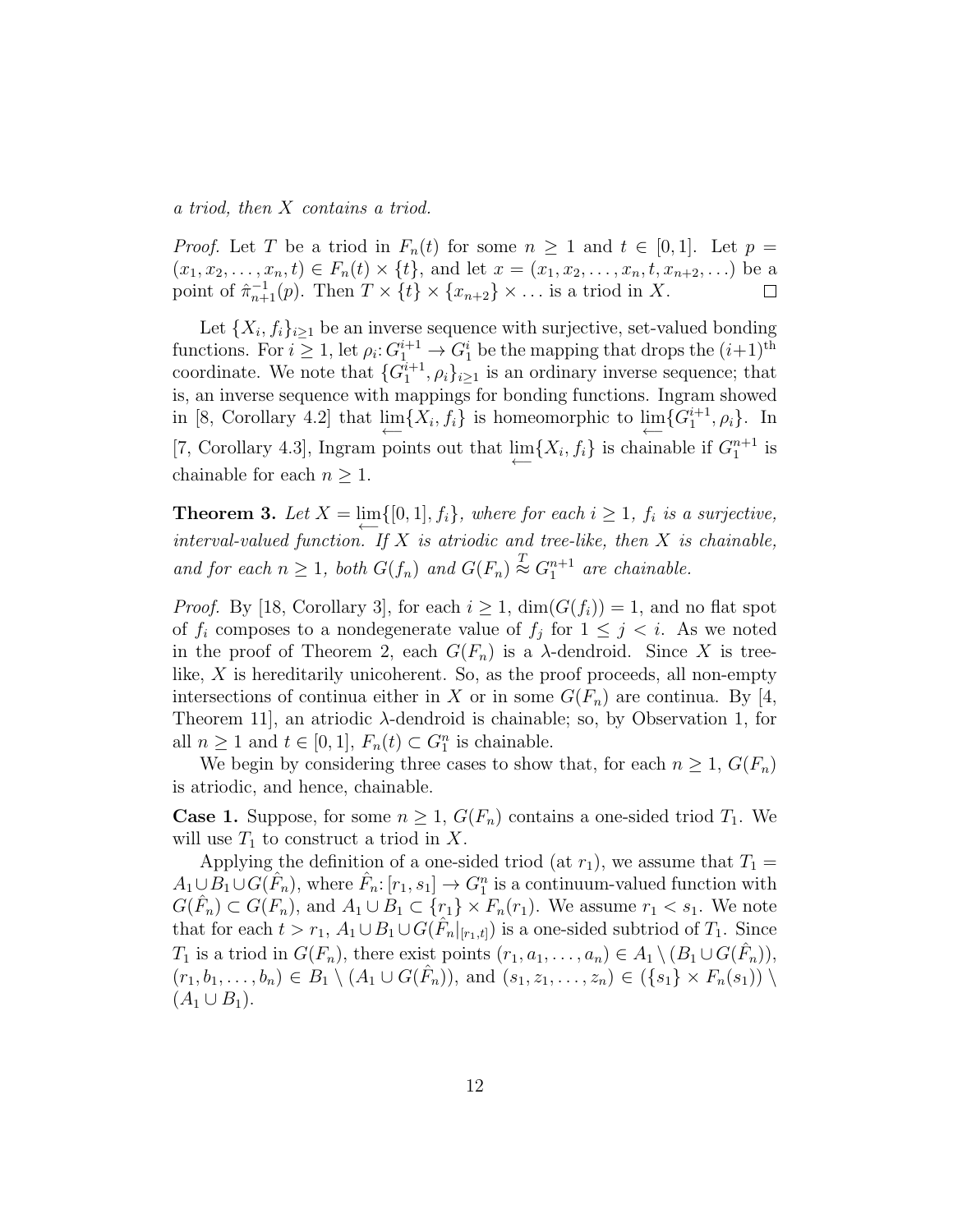a triod, then X contains a triod.

*Proof.* Let T be a triod in  $F_n(t)$  for some  $n \geq 1$  and  $t \in [0,1]$ . Let  $p =$  $(x_1, x_2, \ldots, x_n, t) \in F_n(t) \times \{t\}$ , and let  $x = (x_1, x_2, \ldots, x_n, t, x_{n+2}, \ldots)$  be a point of  $\hat{\pi}_{n+1}^{-1}(p)$ . Then  $T \times \{t\} \times \{x_{n+2}\} \times \ldots$  is a triod in X.  $\Box$ 

Let  $\{X_i, f_i\}_{i\geq 1}$  be an inverse sequence with surjective, set-valued bonding functions. For  $i \geq 1$ , let  $\rho_i: G_1^{i+1} \to G_1^i$  be the mapping that drops the  $(i+1)$ <sup>th</sup> coordinate. We note that  ${G_1^{i+1}, \rho_i}_{i \geq 1}$  is an ordinary inverse sequence; that is, an inverse sequence with mappings for bonding functions. Ingram showed in [8, Corollary 4.2] that  $\lim_{n \to \infty} \{X_i, f_i\}$  is homeomorphic to  $\lim_{n \to \infty} \{G_1^{i+1}, \rho_i\}$ . In [7, Corollary 4.3], Ingram points out that  $\lim_{n \to \infty} \{X_i, f_i\}$  is chainable if  $G_1^{n+1}$  is chainable for each  $n \geq 1$ .

**Theorem 3.** Let  $X = \lim_{n \to \infty} \{ [0, 1], f_i \}$ , where for each  $i \geq 1$ ,  $f_i$  is a surjective, interval-valued function. If  $X$  is atriodic and tree-like, then  $X$  is chainable, and for each  $n \geq 1$ , both  $G(f_n)$  and  $G(F_n) \stackrel{T}{\approx} G_1^{n+1}$  are chainable.

*Proof.* By [18, Corollary 3], for each  $i \geq 1$ ,  $\dim(G(f_i)) = 1$ , and no flat spot of  $f_i$  composes to a nondegenerate value of  $f_j$  for  $1 \leq j \leq i$ . As we noted in the proof of Theorem 2, each  $G(F_n)$  is a  $\lambda$ -dendroid. Since X is treelike, X is hereditarily unicoherent. So, as the proof proceeds, all non-empty intersections of continua either in X or in some  $G(F_n)$  are continua. By [4, Theorem 11, an atriodic  $\lambda$ -dendroid is chainable; so, by Observation 1, for all  $n \geq 1$  and  $t \in [0,1]$ ,  $F_n(t) \subset G_1^n$  is chainable.

We begin by considering three cases to show that, for each  $n \geq 1$ ,  $G(F_n)$ is atriodic, and hence, chainable.

**Case 1.** Suppose, for some  $n \geq 1$ ,  $G(F_n)$  contains a one-sided triod  $T_1$ . We will use  $T_1$  to construct a triod in X.

Applying the definition of a one-sided triod (at  $r_1$ ), we assume that  $T_1 =$  $A_1 \cup \overline{B_1} \cup \overline{G(F_n)}$ , where  $\hat{F}_n: [r_1, s_1] \to G_1^n$  is a continuum-valued function with  $G(\hat{F}_n) \subset G(F_n)$ , and  $A_1 \cup B_1 \subset \{r_1\} \times F_n(r_1)$ . We assume  $r_1 < s_1$ . We note that for each  $t > r_1$ ,  $A_1 \cup B_1 \cup G(\hat{F}_n|_{[r_1,t]})$  is a one-sided subtriod of  $T_1$ . Since  $T_1$  is a triod in  $G(F_n)$ , there exist points  $(r_1, a_1, \ldots, a_n) \in A_1 \setminus (B_1 \cup G(\hat{F}_n)),$  $(r_1, b_1, \ldots, b_n) \in B_1 \setminus (A_1 \cup G(\hat{F}_n)),$  and  $(s_1, z_1, \ldots, z_n) \in (\{s_1\} \times F_n(s_1))$  $(A_1 \cup B_1).$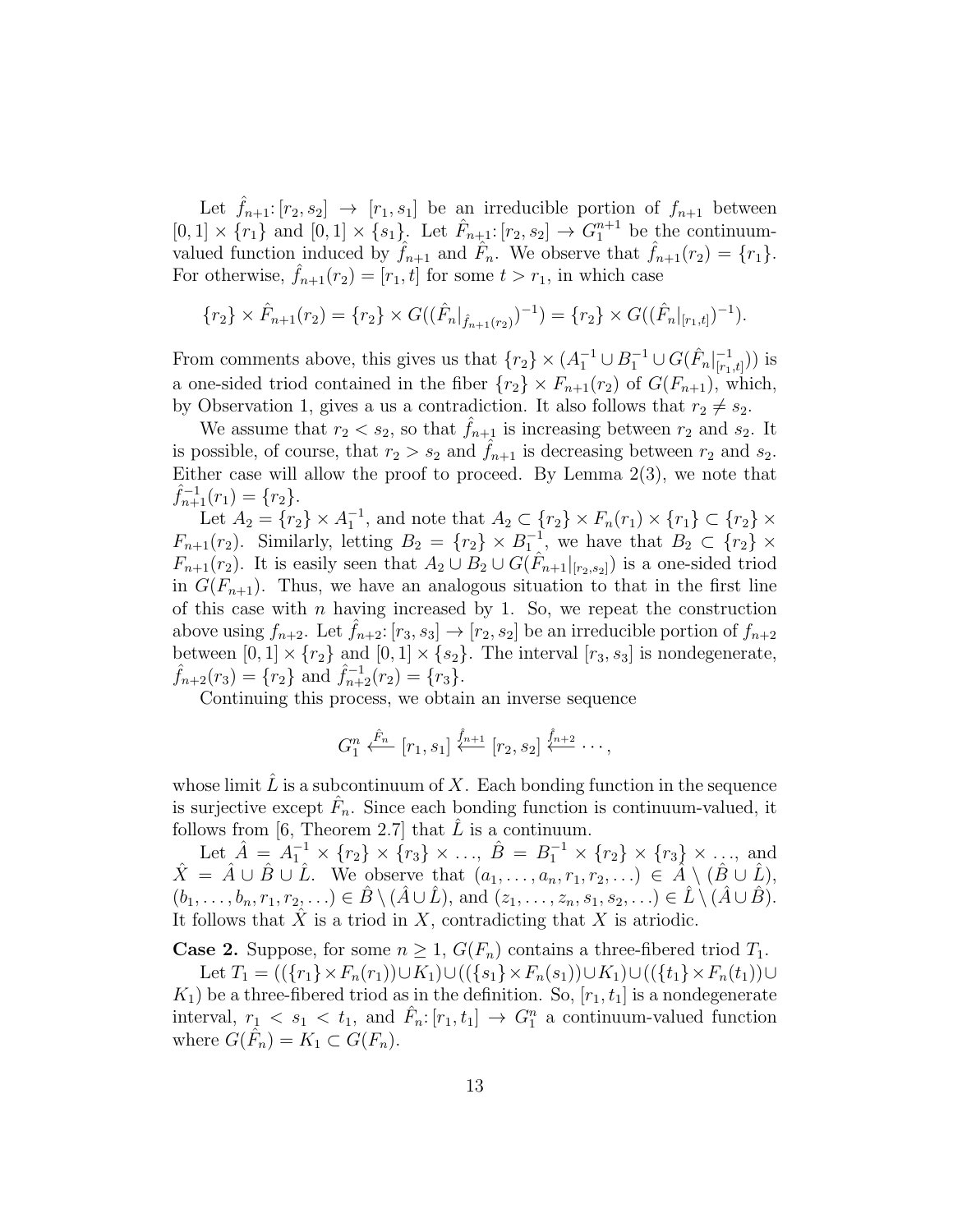Let  $f_{n+1}: [r_2, s_2] \rightarrow [r_1, s_1]$  be an irreducible portion of  $f_{n+1}$  between  $[0,1] \times \{r_1\}$  and  $[0,1] \times \{s_1\}$ . Let  $\hat{F}_{n+1}:[r_2,s_2] \to G_1^{n+1}$  be the continuumvalued function induced by  $\hat{f}_{n+1}$  and  $\hat{F}_n$ . We observe that  $\hat{f}_{n+1}(r_2) = \{r_1\}.$ For otherwise,  $f_{n+1}(r_2) = [r_1, t]$  for some  $t > r_1$ , in which case

$$
\{r_2\} \times \hat{F}_{n+1}(r_2) = \{r_2\} \times G((\hat{F}_n|_{\hat{f}_{n+1}(r_2)})^{-1}) = \{r_2\} \times G((\hat{F}_n|_{[r_1,t]})^{-1}).
$$

From comments above, this gives us that  $\{r_2\} \times (A_1^{-1} \cup B_1^{-1} \cup G(\hat{F}_n)|_{r_1}^{-1})$  $\frac{-1}{[r_1,t]}$ )) is a one-sided triod contained in the fiber  ${r_2} \times F_{n+1}(r_2)$  of  $G(F_{n+1})$ , which, by Observation 1, gives a us a contradiction. It also follows that  $r_2 \neq s_2$ .

We assume that  $r_2 < s_2$ , so that  $f_{n+1}$  is increasing between  $r_2$  and  $s_2$ . It is possible, of course, that  $r_2 > s_2$  and  $\hat{f}_{n+1}$  is decreasing between  $r_2$  and  $s_2$ . Either case will allow the proof to proceed. By Lemma  $2(3)$ , we note that  $\hat{f}_{n+1}^{-1}(r_1) = \{r_2\}.$ 

Let  $A_2 = \{r_2\} \times A_1^{-1}$ , and note that  $A_2 \subset \{r_2\} \times F_n(r_1) \times \{r_1\} \subset \{r_2\} \times$  $F_{n+1}(r_2)$ . Similarly, letting  $B_2 = \{r_2\} \times B_1^{-1}$ , we have that  $B_2 \subset \{r_2\} \times$  $F_{n+1}(r_2)$ . It is easily seen that  $A_2 \cup B_2 \cup G(\hat{F}_{n+1}|_{[r_2,s_2]})$  is a one-sided triod in  $G(F_{n+1})$ . Thus, we have an analogous situation to that in the first line of this case with n having increased by 1. So, we repeat the construction above using  $f_{n+2}$ . Let  $\hat{f}_{n+2}$ :  $[r_3, s_3] \rightarrow [r_2, s_2]$  be an irreducible portion of  $f_{n+2}$ between  $[0,1] \times \{r_2\}$  and  $[0,1] \times \{s_2\}$ . The interval  $[r_3, s_3]$  is nondegenerate,  $\hat{f}_{n+2}(r_3) = \{r_2\}$  and  $\hat{f}_{n+2}^{-1}(r_2) = \{r_3\}.$ 

Continuing this process, we obtain an inverse sequence

$$
G_1^n \xleftarrow{\hat{F}_n} [r_1, s_1] \xleftarrow{\hat{f}_{n+1}} [r_2, s_2] \xleftarrow{\hat{f}_{n+2}} \cdots,
$$

whose limit  $L$  is a subcontinuum of  $X$ . Each bonding function in the sequence is surjective except  $\hat{F}_n$ . Since each bonding function is continuum-valued, it follows from [6, Theorem 2.7] that  $L$  is a continuum.

Let  $\hat{A} = A_1^{-1} \times \{r_2\} \times \{r_3\} \times \ldots$ ,  $\hat{B} = B_1^{-1} \times \{r_2\} \times \{r_3\} \times \ldots$ , and  $\hat{X} = \hat{A} \cup \hat{B} \cup \hat{L}$ . We observe that  $(a_1, \ldots, a_n, r_1, r_2, \ldots) \in \hat{A} \setminus (\hat{B} \cup \hat{L})$ ,  $(b_1,\ldots,b_n,r_1,r_2,\ldots)\in \hat{B}\setminus (\hat{A}\cup \hat{L}),$  and  $(z_1,\ldots,z_n,s_1,s_2,\ldots)\in \hat{L}\setminus (\hat{A}\cup \hat{B}).$ It follows that  $X$  is a triod in  $X$ , contradicting that  $X$  is atriodic.

**Case 2.** Suppose, for some  $n \geq 1$ ,  $G(F_n)$  contains a three-fibered triod  $T_1$ .

Let  $T_1 = ((\{r_1\} \times F_n(r_1)) \cup K_1) \cup ((\{s_1\} \times F_n(s_1)) \cup K_1) \cup ((\{t_1\} \times F_n(t_1)) \cup$  $K_1$ ) be a three-fibered triod as in the definition. So,  $[r_1, t_1]$  is a nondegenerate interval,  $r_1 < s_1 < t_1$ , and  $\hat{F}_n: [r_1, t_1] \to G_1^n$  a continuum-valued function where  $G(\hat{F}_n) = K_1 \subset G(F_n)$ .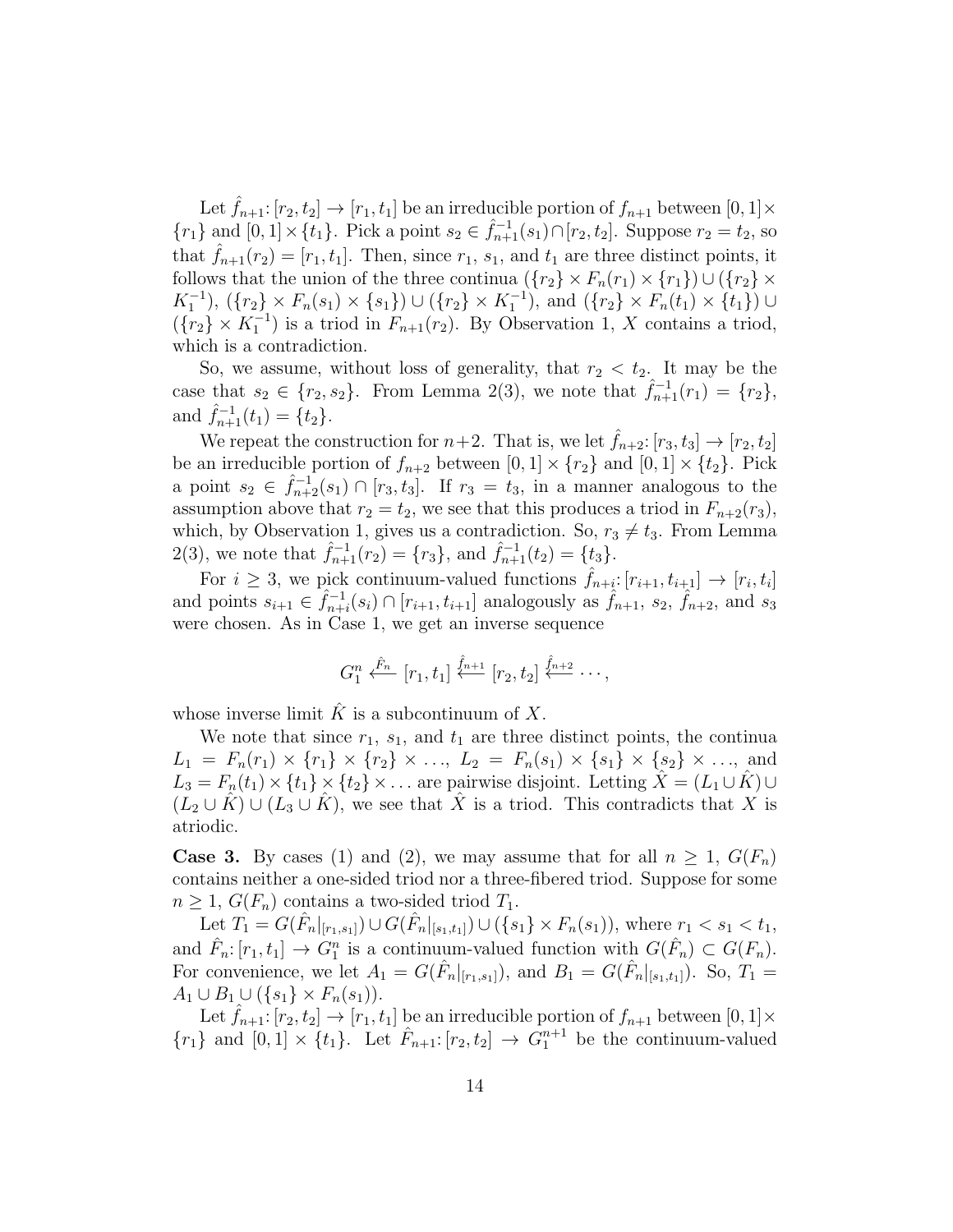Let  $f_{n+1}: [r_2, t_2] \to [r_1, t_1]$  be an irreducible portion of  $f_{n+1}$  between  $[0, 1] \times$  $\{r_1\}$  and  $[0,1] \times \{t_1\}$ . Pick a point  $s_2 \in \hat{f}_{n+1}(s_1) \cap [r_2, t_2]$ . Suppose  $r_2 = t_2$ , so that  $\hat{f}_{n+1}(r_2) = [r_1, t_1]$ . Then, since  $r_1$ ,  $s_1$ , and  $t_1$  are three distinct points, it follows that the union of the three continua  $({r_2} \times F_n(r_1) \times {r_1}) \cup ({r_2} \times$  $K_1^{-1}$ ),  $(\{r_2\} \times F_n(s_1) \times \{s_1\}) \cup (\{r_2\} \times K_1^{-1})$ , and  $(\{r_2\} \times F_n(t_1) \times \{t_1\}) \cup$  $({r_2} \times K_1^{-1})$  is a triod in  $F_{n+1}(r_2)$ . By Observation 1, X contains a triod, which is a contradiction.

So, we assume, without loss of generality, that  $r_2 < t_2$ . It may be the case that  $s_2 \in \{r_2, s_2\}$ . From Lemma 2(3), we note that  $\hat{f}_{n+1}^{-1}(r_1) = \{r_2\}$ , and  $\hat{f}_{n+1}^{-1}(t_1) = \{t_2\}.$ 

We repeat the construction for  $n+2$ . That is, we let  $f_{n+2}: [r_3, t_3] \rightarrow [r_2, t_2]$ be an irreducible portion of  $f_{n+2}$  between  $[0, 1] \times \{r_2\}$  and  $[0, 1] \times \{t_2\}$ . Pick a point  $s_2 \in \hat{f}_{n+2}^{-1}(s_1) \cap [r_3, t_3]$ . If  $r_3 = t_3$ , in a manner analogous to the assumption above that  $r_2 = t_2$ , we see that this produces a triod in  $F_{n+2}(r_3)$ , which, by Observation 1, gives us a contradiction. So,  $r_3 \neq t_3$ . From Lemma 2(3), we note that  $\hat{f}_{n+1}^{-1}(r_2) = \{r_3\}$ , and  $\hat{f}_{n+1}^{-1}(t_2) = \{t_3\}$ .

For  $i \geq 3$ , we pick continuum-valued functions  $\hat{f}_{n+i}: [r_{i+1}, t_{i+1}] \rightarrow [r_i, t_i]$ and points  $s_{i+1} \in \hat{f}_{n+1}^{-1}$  $\hat{f}_{n+1}(s_i) \cap [r_{i+1}, t_{i+1}]$  analogously as  $\hat{f}_{n+1}, s_2, \hat{f}_{n+2}$ , and  $s_3$ were chosen. As in Case 1, we get an inverse sequence

$$
G_1^n \xleftarrow{\hat{F}_n} [r_1, t_1] \xleftarrow{\hat{f}_{n+1}} [r_2, t_2] \xleftarrow{\hat{f}_{n+2}} \cdots,
$$

whose inverse limit  $\hat{K}$  is a subcontinuum of X.

We note that since  $r_1$ ,  $s_1$ , and  $t_1$  are three distinct points, the continua  $L_1 = F_n(r_1) \times \{r_1\} \times \{r_2\} \times \ldots, L_2 = F_n(s_1) \times \{s_1\} \times \{s_2\} \times \ldots$ , and  $L_3 = F_n(t_1) \times \{t_1\} \times \{t_2\} \times \ldots$  are pairwise disjoint. Letting  $\hat{X} = (L_1 \cup \hat{K}) \cup$  $(L_2 \cup \hat{K}) \cup (L_3 \cup \hat{K})$ , we see that  $\hat{X}$  is a triod. This contradicts that X is atriodic.

**Case 3.** By cases (1) and (2), we may assume that for all  $n \geq 1$ ,  $G(F_n)$ contains neither a one-sided triod nor a three-fibered triod. Suppose for some  $n \geq 1$ ,  $G(F_n)$  contains a two-sided triod  $T_1$ .

Let  $T_1 = G(\hat{F}_n|_{[r_1,s_1]}) \cup G(\hat{F}_n|_{[s_1,t_1]}) \cup (\{s_1\} \times F_n(s_1)),$  where  $r_1 < s_1 < t_1$ , and  $\hat{F}_n: [r_1, t_1] \to G_1^n$  is a continuum-valued function with  $G(\hat{F}_n) \subset G(F_n)$ . For convenience, we let  $A_1 = G(\hat{F}_n|_{[r_1,s_1]})$ , and  $B_1 = G(\hat{F}_n|_{[s_1,t_1]})$ . So,  $T_1 =$  $A_1 \cup B_1 \cup (\{s_1\} \times F_n(s_1)).$ 

Let  $\hat{f}_{n+1}: [r_2, t_2] \to [r_1, t_1]$  be an irreducible portion of  $f_{n+1}$  between  $[0, 1] \times$  ${r_1}$  and  $[0,1] \times {t_1}$ . Let  $\hat{F}_{n+1}$ :  $[r_2,t_2] \rightarrow \hat{G}_1^{n+1}$  be the continuum-valued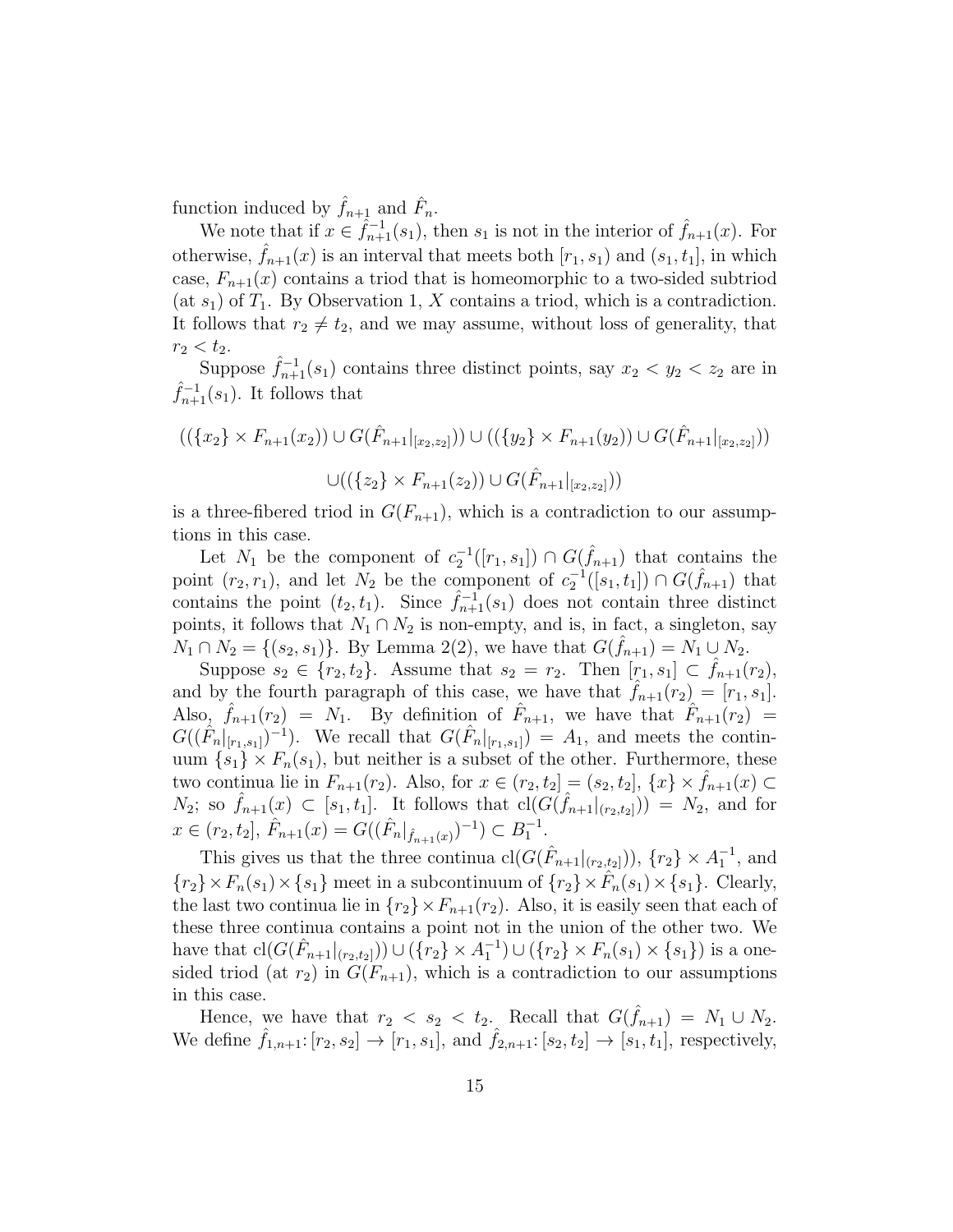function induced by  $\hat{f}_{n+1}$  and  $\hat{F}_n$ .

We note that if  $x \in \hat{f}_{n+1}^{-1}(s_1)$ , then  $s_1$  is not in the interior of  $\hat{f}_{n+1}(x)$ . For otherwise,  $f_{n+1}(x)$  is an interval that meets both  $[r_1, s_1]$  and  $(s_1, t_1]$ , in which case,  $F_{n+1}(x)$  contains a triod that is homeomorphic to a two-sided subtriod (at  $s_1$ ) of  $T_1$ . By Observation 1, X contains a triod, which is a contradiction. It follows that  $r_2 \neq t_2$ , and we may assume, without loss of generality, that  $r_2 < t_2$ .

Suppose  $\hat{f}_{n+1}^{-1}(s_1)$  contains three distinct points, say  $x_2 < y_2 < z_2$  are in  $\hat{f}_{n+1}^{-1}(s_1)$ . It follows that

$$
((\{x_2\} \times F_{n+1}(x_2)) \cup G(\hat{F}_{n+1}|_{[x_2,z_2]})) \cup ((\{y_2\} \times F_{n+1}(y_2)) \cup G(\hat{F}_{n+1}|_{[x_2,z_2]}))
$$

$$
\cup ((\{z_2\} \times F_{n+1}(z_2)) \cup G(\hat{F}_{n+1}|_{[x_2,z_2]}))
$$

is a three-fibered triod in  $G(F_{n+1})$ , which is a contradiction to our assumptions in this case.

Let  $N_1$  be the component of  $c_2^{-1}([r_1, s_1]) \cap G(\hat{f}_{n+1})$  that contains the point  $(r_2, r_1)$ , and let  $N_2$  be the component of  $c_2^{-1}([s_1, t_1]) \cap G(\hat{f}_{n+1})$  that contains the point  $(t_2, t_1)$ . Since  $\hat{f}_{n+1}^{-1}(s_1)$  does not contain three distinct points, it follows that  $N_1 \cap N_2$  is non-empty, and is, in fact, a singleton, say  $N_1 \cap N_2 = \{(s_2, s_1)\}\.$  By Lemma 2(2), we have that  $G(\hat{f}_{n+1}) = N_1 \cup N_2$ .

Suppose  $s_2 \in \{r_2, t_2\}$ . Assume that  $s_2 = r_2$ . Then  $[r_1, s_1] \subset f_{n+1}(r_2)$ , and by the fourth paragraph of this case, we have that  $f_{n+1}(r_2) = [r_1, s_1]$ . Also,  $\hat{f}_{n+1}(r_2) = N_1$ . By definition of  $\hat{F}_{n+1}$ , we have that  $\hat{F}_{n+1}(r_2) =$  $G((\hat{F}_n|_{[r_1,s_1]})^{-1})$ . We recall that  $G(\hat{F}_n|_{[r_1,s_1]}) = A_1$ , and meets the continuum  $\{s_1\} \times F_n(s_1)$ , but neither is a subset of the other. Furthermore, these two continua lie in  $F_{n+1}(r_2)$ . Also, for  $x \in (r_2, t_2] = (s_2, t_2]$ ,  $\{x\} \times f_{n+1}(x) \subset$  $N_2$ ; so  $\hat{f}_{n+1}(x) \subset [s_1, t_1]$ . It follows that  $\text{cl}(G(\hat{f}_{n+1}|_{(r_2,t_2]})) = N_2$ , and for  $x \in (r_2, t_2], \hat{F}_{n+1}(x) = G((\hat{F}_n|_{\hat{f}_{n+1}(x)})^{-1}) \subset B_1^{-1}.$ 

This gives us that the three continua  $\text{cl}(G(\hat{F}_{n+1}|_{(r_2,t_2]})), \{r_2\} \times A_1^{-1}$ , and  ${r_2} \times F_n(s_1) \times \{s_1\}$  meet in a subcontinuum of  ${r_2} \times \hat{F}_n(s_1) \times \{s_1\}$ . Clearly, the last two continua lie in  $\{r_2\} \times F_{n+1}(r_2)$ . Also, it is easily seen that each of these three continua contains a point not in the union of the other two. We have that  $\text{cl}(G(\hat{F}_{n+1}|_{(r_2,t_2]})) \cup (\{r_2\} \times A_1^{-1}) \cup (\{r_2\} \times F_n(s_1) \times \{s_1\})$  is a onesided triod (at  $r_2$ ) in  $G(F_{n+1})$ , which is a contradiction to our assumptions in this case.

Hence, we have that  $r_2 < s_2 < t_2$ . Recall that  $G(\hat{f}_{n+1}) = N_1 \cup N_2$ . We define  $\hat{f}_{1,n+1}$ :  $[r_2, s_2] \to [r_1, s_1]$ , and  $\hat{f}_{2,n+1}$ :  $[s_2, t_2] \to [s_1, t_1]$ , respectively,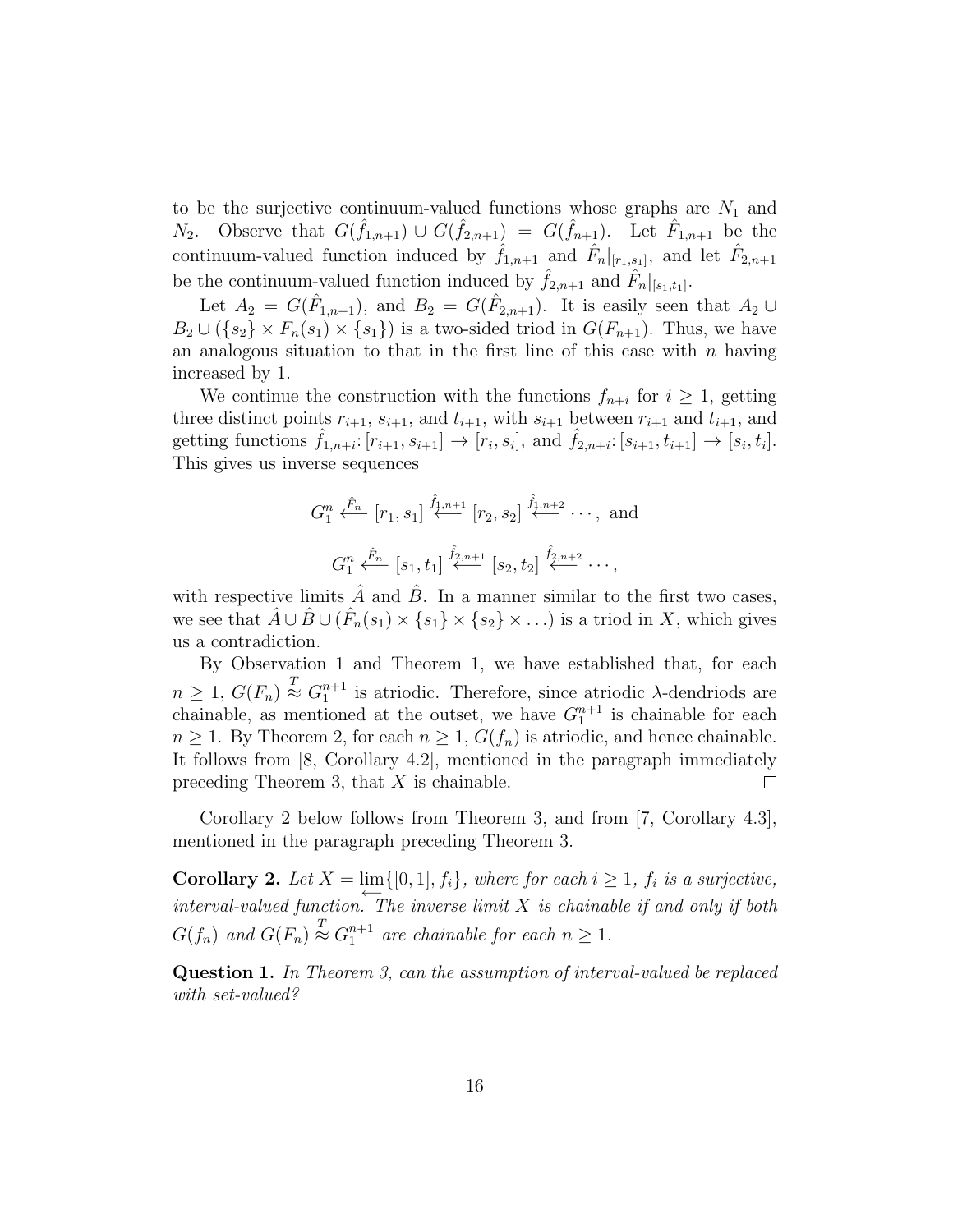to be the surjective continuum-valued functions whose graphs are  $N_1$  and  $N_2$ . Observe that  $G(\hat{f}_{1,n+1}) \cup G(\hat{f}_{2,n+1}) = G(\hat{f}_{n+1})$ . Let  $\hat{F}_{1,n+1}$  be the continuum-valued function induced by  $\hat{f}_{1,n+1}$  and  $\hat{F}_n|_{[r_1,s_1]}$ , and let  $\hat{F}_{2,n+1}$ be the continuum-valued function induced by  $\hat{f}_{2,n+1}$  and  $\hat{F}_n|_{[s_1,t_1]}$ .

Let  $A_2 = G(\hat{F}_{1,n+1})$ , and  $B_2 = G(\hat{F}_{2,n+1})$ . It is easily seen that  $A_2 \cup$  $B_2 \cup (\{s_2\} \times F_n(s_1) \times \{s_1\})$  is a two-sided triod in  $G(F_{n+1})$ . Thus, we have an analogous situation to that in the first line of this case with  $n$  having increased by 1.

We continue the construction with the functions  $f_{n+i}$  for  $i \geq 1$ , getting three distinct points  $r_{i+1}$ ,  $s_{i+1}$ , and  $t_{i+1}$ , with  $s_{i+1}$  between  $r_{i+1}$  and  $t_{i+1}$ , and getting functions  $\hat{f}_{1,n+i}: [r_{i+1}, s_{i+1}] \to [r_i, s_i]$ , and  $\hat{f}_{2,n+i}: [s_{i+1}, t_{i+1}] \to [s_i, t_i]$ . This gives us inverse sequences

$$
G_1^n \xleftarrow{\hat{F}_n} [r_1, s_1] \xleftarrow{\hat{f}_1, n+1} [r_2, s_2] \xleftarrow{\hat{f}_1, n+2} \cdots, \text{ and}
$$

$$
G_1^n \xleftarrow{\hat{F}_n} [s_1, t_1] \xleftarrow{\hat{f}_2, n+1} [s_2, t_2] \xleftarrow{\hat{f}_2, n+2} \cdots,
$$

with respective limits  $\hat{A}$  and  $\hat{B}$ . In a manner similar to the first two cases, we see that  $\hat{A} \cup \hat{B} \cup (\hat{F}_n(s_1) \times \{s_1\} \times \{s_2\} \times \ldots)$  is a triod in X, which gives us a contradiction.

By Observation 1 and Theorem 1, we have established that, for each  $n \geq 1, G(F_n) \stackrel{T}{\approx} G_1^{n+1}$  is atriodic. Therefore, since atriodic  $\lambda$ -dendriods are chainable, as mentioned at the outset, we have  $G_1^{n+1}$  is chainable for each  $n \geq 1$ . By Theorem 2, for each  $n \geq 1$ ,  $G(f_n)$  is atriodic, and hence chainable. It follows from [8, Corollary 4.2], mentioned in the paragraph immediately preceding Theorem 3, that  $X$  is chainable.  $\Box$ 

Corollary 2 below follows from Theorem 3, and from [7, Corollary 4.3], mentioned in the paragraph preceding Theorem 3.

**Corollary 2.** Let  $X = \lim_{n \to \infty} \{ [0, 1], f_i \}$ , where for each  $i \geq 1$ ,  $f_i$  is a surjective, interval-valued function. The inverse limit  $X$  is chainable if and only if both  $G(f_n)$  and  $G(F_n) \stackrel{T}{\approx} G_1^{n+1}$  are chainable for each  $n \geq 1$ .

Question 1. In Theorem 3, can the assumption of interval-valued be replaced with set-valued?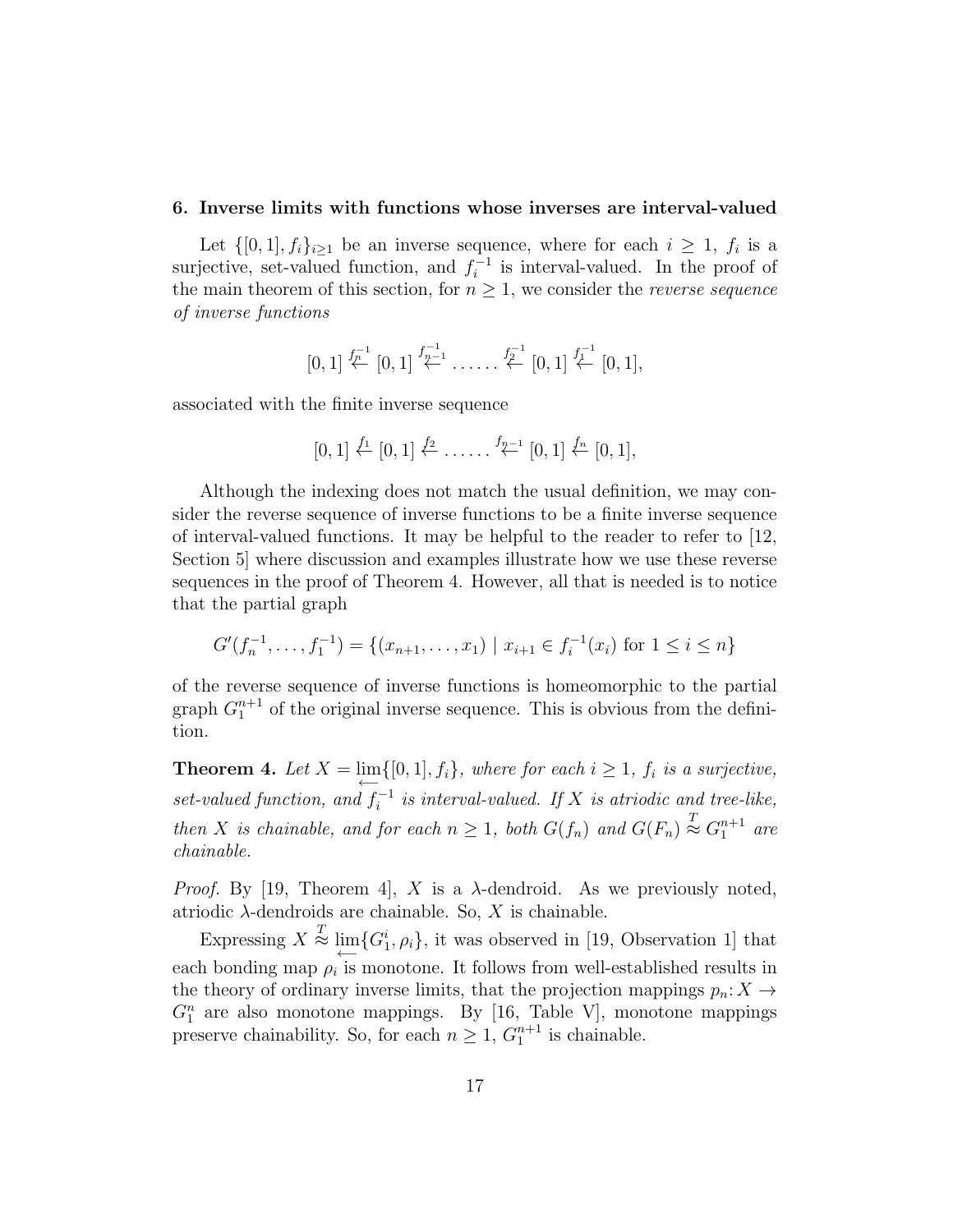#### 6. Inverse limits with functions whose inverses are interval-valued

Let  $\{[0,1], f_i\}_{i\geq 1}$  be an inverse sequence, where for each  $i \geq 1$ ,  $f_i$  is a surjective, set-valued function, and  $f_i^{-1}$  $i^{-1}$  is interval-valued. In the proof of the main theorem of this section, for  $n \geq 1$ , we consider the *reverse sequence* of inverse functions

$$
[0,1] \stackrel{f_{n}^{-1}}{\leftarrow} [0,1] \stackrel{f_{n-1}^{-1}}{\leftarrow} \ldots \ldots \stackrel{f_{2}^{-1}}{\leftarrow} [0,1] \stackrel{f_{1}^{-1}}{\leftarrow} [0,1],
$$

associated with the finite inverse sequence

$$
[0,1] \stackrel{f_1}{\leftarrow} [0,1] \stackrel{f_2}{\leftarrow} \ldots \ldots \stackrel{f_{n-1}}{\leftarrow} [0,1] \stackrel{f_n}{\leftarrow} [0,1],
$$

Although the indexing does not match the usual definition, we may consider the reverse sequence of inverse functions to be a finite inverse sequence of interval-valued functions. It may be helpful to the reader to refer to [12, Section 5] where discussion and examples illustrate how we use these reverse sequences in the proof of Theorem 4. However, all that is needed is to notice that the partial graph

$$
G'(f_n^{-1}, \dots, f_1^{-1}) = \{(x_{n+1}, \dots, x_1) \mid x_{i+1} \in f_i^{-1}(x_i) \text{ for } 1 \le i \le n\}
$$

of the reverse sequence of inverse functions is homeomorphic to the partial graph  $G_1^{n+1}$  of the original inverse sequence. This is obvious from the definition.

**Theorem 4.** Let  $X = \lim_{n \to \infty} \{ [0, 1], f_i \}$ , where for each  $i \geq 1$ ,  $f_i$  is a surjective, set-valued function, and  $f_i^{-1}$  $i_i^{-1}$  is interval-valued. If X is atriodic and tree-like, then X is chainable, and for each  $n \geq 1$ , both  $G(f_n)$  and  $G(F_n) \stackrel{T}{\approx} G_1^{n+1}$  are chainable.

*Proof.* By [19, Theorem 4], X is a  $\lambda$ -dendroid. As we previously noted, atriodic  $\lambda$ -dendroids are chainable. So, X is chainable.

Expressing  $X \stackrel{T}{\approx} \varprojlim \{ G_1^i, \rho_i \},\$  it was observed in [19, Observation 1] that each bonding map  $\rho_i$  is monotone. It follows from well-established results in the theory of ordinary inverse limits, that the projection mappings  $p_n: X \to Y$  $G_1^n$  are also monotone mappings. By [16, Table V], monotone mappings preserve chainability. So, for each  $n \geq 1$ ,  $G_1^{n+1}$  is chainable.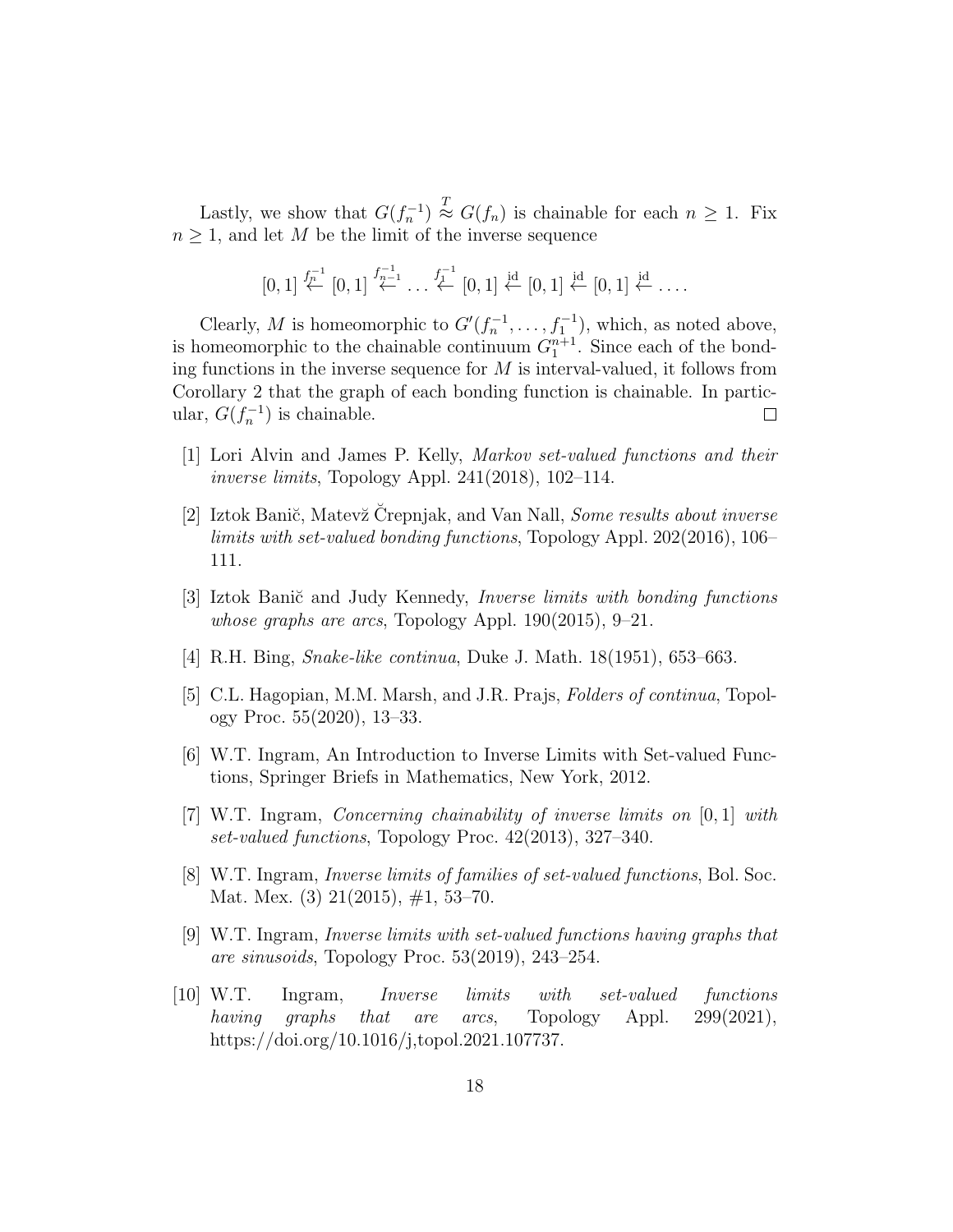Lastly, we show that  $G(f_n^{-1}) \stackrel{T}{\approx} G(f_n)$  is chainable for each  $n \geq 1$ . Fix  $n \geq 1$ , and let M be the limit of the inverse sequence

$$
[0,1] \stackrel{f_{n}^{-1}}{\leftarrow} [0,1] \stackrel{f_{n-1}^{-1}}{\leftarrow} \dots \stackrel{f_{1}^{-1}}{\leftarrow} [0,1] \stackrel{\text{id}}{\leftarrow} [0,1] \stackrel{\text{id}}{\leftarrow} [0,1] \stackrel{\text{id}}{\leftarrow} \dots
$$

Clearly, M is homeomorphic to  $G'(f_n^{-1}, \ldots, f_1^{-1})$ , which, as noted above, is homeomorphic to the chainable continuum  $G_1^{n+1}$ . Since each of the bonding functions in the inverse sequence for  $M$  is interval-valued, it follows from Corollary 2 that the graph of each bonding function is chainable. In particular,  $G(f_n^{-1})$  is chainable.  $\Box$ 

- [1] Lori Alvin and James P. Kelly, Markov set-valued functions and their inverse limits, Topology Appl. 241(2018), 102–114.
- [2] Iztok Banič, Matevž Črepnjak, and Van Nall, Some results about inverse limits with set-valued bonding functions, Topology Appl. 202(2016), 106– 111.
- [3] Iztok Banič and Judy Kennedy, *Inverse limits with bonding functions* whose graphs are arcs, Topology Appl. 190(2015), 9–21.
- [4] R.H. Bing, Snake-like continua, Duke J. Math. 18(1951), 653–663.
- [5] C.L. Hagopian, M.M. Marsh, and J.R. Prajs, Folders of continua, Topology Proc. 55(2020), 13–33.
- [6] W.T. Ingram, An Introduction to Inverse Limits with Set-valued Functions, Springer Briefs in Mathematics, New York, 2012.
- [7] W.T. Ingram, Concerning chainability of inverse limits on [0, 1] with set-valued functions, Topology Proc. 42(2013), 327–340.
- [8] W.T. Ingram, Inverse limits of families of set-valued functions, Bol. Soc. Mat. Mex. (3) 21(2015), #1, 53–70.
- [9] W.T. Ingram, Inverse limits with set-valued functions having graphs that are sinusoids, Topology Proc. 53(2019), 243–254.
- [10] W.T. Ingram, Inverse limits with set-valued functions having graphs that are arcs, Topology Appl. 299(2021), https://doi.org/10.1016/j,topol.2021.107737.